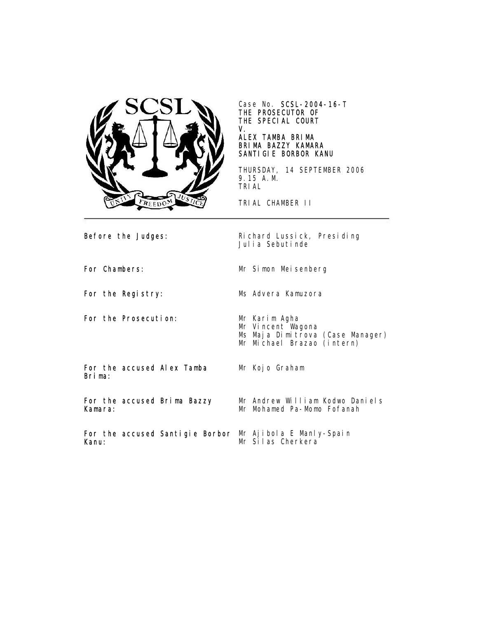

Case No. SCSL-2004-16-T THE PROSECUTOR OF THE SPECIAL COURT V.

## ALEX TAMBA BRIMA BRIMA BAZZY KAMARA SANTIGIE BORBOR KANU

THURSDAY, 14 SEPTEMBER 2006 9.15 A.M. TRIAL

TRIAL CHAMBER II

Mr Kojo Graham

Before the Judges: Richard Lussick, Presiding Julia Sebutinde

For Chambers: Mr Simon Meisenberg

For the Registry: Ms Advera Kamuzora

For the Prosecution: Mr Karim Agha

Mr Vincent Wagona Ms Maja Dimitrova (Case Manager) Mr Michael Brazao (intern)

For the accused Alex Tamba Brima:

For the accused Brima Bazzy Kamara:

Mr Andrew William Kodwo Daniels Mr Mohamed Pa-Momo Fofanah

For the accused Santigie Borbor Mr Ajibola E Manly-Spain Kanu: Mr Silas Cherkera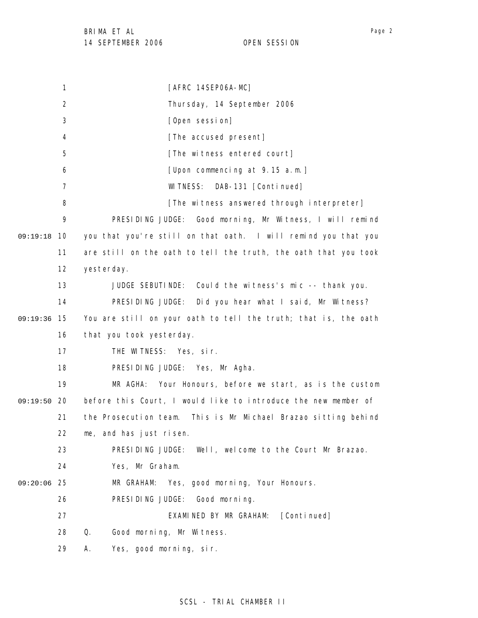1 2 3 4 5 6 7 8 9 09:19:18 10 11 12 13 14 09:19:36 15 16 17 18 19 09:19:50 20 21 22 23 24 25 09:20:06 26 27 28 29 [AFRC 14SEP06A-MC] Thursday, 14 September 2006 [Open session] [The accused present] [The witness entered court] [Upon commencing at 9.15 a.m.] WITNESS: DAB-131 [Continued] [The witness answered through interpreter] PRESIDING JUDGE: Good morning, Mr Witness, I will remind you that you're still on that oath. I will remind you that you are still on the oath to tell the truth, the oath that you took yesterday. JUDGE SEBUTINDE: Could the witness's mic -- thank you. PRESIDING JUDGE: Did you hear what I said, Mr Witness? You are still on your oath to tell the truth; that is, the oath that you took yesterday. THE WITNESS: Yes, sir. PRESIDING JUDGE: Yes, Mr Agha. MR AGHA: Your Honours, before we start, as is the custom before this Court, I would like to introduce the new member of the Prosecution team. This is Mr Michael Brazao sitting behind me, and has just risen. PRESIDING JUDGE: Well, welcome to the Court Mr Brazao. Yes, Mr Graham. MR GRAHAM: Yes, good morning, Your Honours. PRESIDING JUDGE: Good morning. EXAMINED BY MR GRAHAM: [Continued] Q. Good morning, Mr Witness. A. Yes, good morning, sir.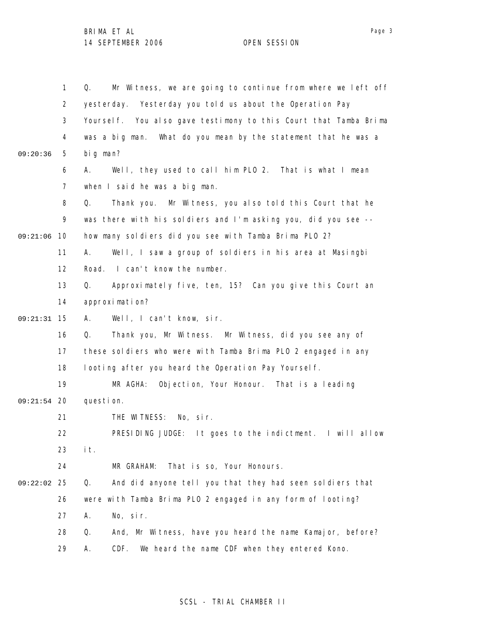|          | $\mathbf{1}$   | Mr Witness, we are going to continue from where we left off<br>Q. |
|----------|----------------|-------------------------------------------------------------------|
|          | $\overline{2}$ | yesterday. Yesterday you told us about the Operation Pay          |
|          | 3              | Yourself. You also gave testimony to this Court that Tamba Brima  |
|          | 4              | What do you mean by the statement that he was a<br>was a big man. |
| 09:20:36 | 5              | big man?                                                          |
|          | 6              | Well, they used to call him PLO 2. That is what I mean<br>А.      |
|          | $\overline{7}$ | when I said he was a big man.                                     |
|          | 8              | Mr Witness, you also told this Court that he<br>Q.<br>Thank you.  |
|          | 9              | was there with his soldiers and I'm asking you, did you see --    |
| 09:21:06 | 10             | how many soldiers did you see with Tamba Brima PLO 2?             |
|          | 11             | Well, I saw a group of soldiers in his area at Masingbi<br>А.     |
|          | 12             | Road. I can't know the number.                                    |
|          | 13             | Approximately five, ten, 15? Can you give this Court an<br>Q.     |
|          | 14             | approximation?                                                    |
| 09:21:31 | 15             | Well, I can't know, sir.<br>А.                                    |
|          | 16             | Thank you, Mr Witness. Mr Witness, did you see any of<br>Q.       |
|          | 17             | these soldiers who were with Tamba Brima PLO 2 engaged in any     |
|          | 18             | looting after you heard the Operation Pay Yourself.               |
|          | 19             | MR AGHA:<br>Objection, Your Honour. That is a leading             |
| 09:21:54 | -20            | question.                                                         |
|          | 21             | THE WITNESS: No, sir.                                             |
|          | 22             | PRESIDING JUDGE: It goes to the indictment. I will allow          |
|          | 23             | it.                                                               |
|          | 24             | That is so, Your Honours.<br>MR GRAHAM:                           |
| 09:22:02 | 25             | Q.<br>And did anyone tell you that they had seen soldiers that    |
|          | 26             | were with Tamba Brima PLO 2 engaged in any form of looting?       |
|          | 27             | No, sir.<br>Α.                                                    |
|          | 28             | Q.<br>And, Mr Witness, have you heard the name Kamajor, before?   |
|          | 29             | Α.<br>CDF.<br>We heard the name CDF when they entered Kono.       |

## SCSL - TRIAL CHAMBER II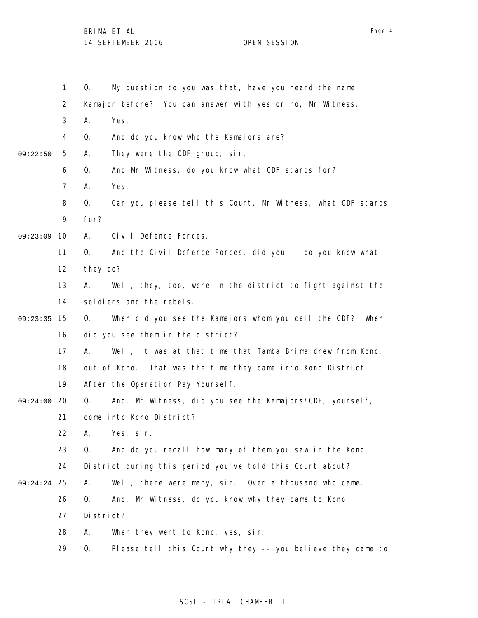|          | $\mathbf{1}$   | My question to you was that, have you heard the name<br>Q.        |
|----------|----------------|-------------------------------------------------------------------|
|          | $\overline{2}$ | Kamajor before? You can answer with yes or no, Mr Witness.        |
|          | 3              | Yes.<br>Α.                                                        |
|          | 4              | Q.<br>And do you know who the Kamajors are?                       |
| 09:22:50 | 5              | They were the CDF group, sir.<br>Α.                               |
|          | 6              | And Mr Witness, do you know what CDF stands for?                  |
|          | $\overline{7}$ | Yes.<br>Α.                                                        |
|          | 8              | Q.<br>Can you please tell this Court, Mr Witness, what CDF stands |
|          | 9              | for?                                                              |
| 09:23:09 | 10             | Civil Defence Forces.<br>А.                                       |
|          | 11             | Q.<br>And the Civil Defence Forces, did you -- do you know what   |
|          | 12             | they do?                                                          |
|          | 13             | Well, they, too, were in the district to fight against the<br>А.  |
|          | 14             | sol diers and the rebels.                                         |
| 09:23:35 | 15             | When did you see the Kamajors whom you call the CDF? When<br>Q.   |
|          | 16             | did you see them in the district?                                 |
|          | 17             | А.<br>Well, it was at that time that Tamba Brima drew from Kono,  |
|          | 18             | out of Kono. That was the time they came into Kono District.      |
|          | 19             | After the Operation Pay Yourself.                                 |
| 09:24:00 | 20             | And, Mr Witness, did you see the Kamajors/CDF, yourself,<br>Q.    |
|          | 21             | come into Kono District?                                          |
|          | 22             | Yes, sir.                                                         |
|          | 23             | Q.<br>And do you recall how many of them you saw in the Kono      |
|          | 24             | District during this period you've told this Court about?         |
| 09:24:24 | 25             | Well, there were many, sir. Over a thousand who came.<br>А.       |
|          | 26             | And, Mr Witness, do you know why they came to Kono<br>Q.          |
|          | 27             | District?                                                         |
|          | 28             | Α.<br>When they went to Kono, yes, sir.                           |
|          | 29             | Please tell this Court why they -- you believe they came to<br>Q. |

# SCSL - TRIAL CHAMBER II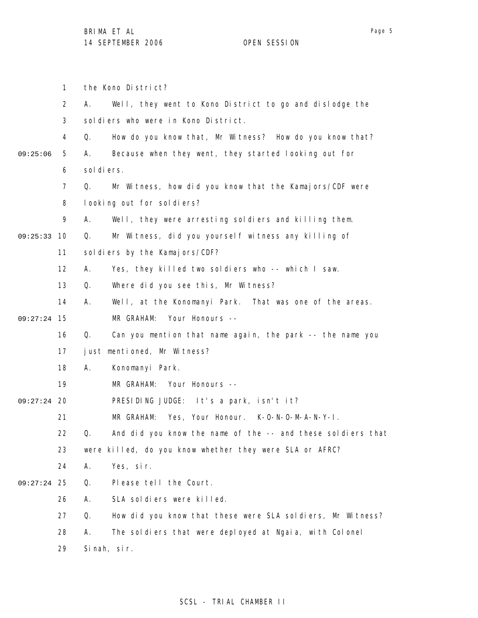1 2 3 4 5 6 7 8 9 09:25:33 10 11 12 13 14 15 09:27:24 16 17 18 19 09:27:24 20 21 22 23 24 25 09:27:24 26 27 28 29 09:25:06 the Kono District? A. Well, they went to Kono District to go and dislodge the soldiers who were in Kono District. Q. How do you know that, Mr Witness? How do you know that? A. Because when they went, they started looking out for sol di ers. Q. Mr Witness, how did you know that the Kamajors/CDF were looking out for soldiers? A. Well, they were arresting soldiers and killing them. Q. Mr Witness, did you yourself witness any killing of sol diers by the Kamajors/CDF? A. Yes, they killed two soldiers who -- which I saw. Q. Where did you see this, Mr Witness? A. Well, at the Konomanyi Park. That was one of the areas. MR GRAHAM: Your Honours -- Q. Can you mention that name again, the park -- the name you just mentioned, Mr Witness? A. Konomanyi Park. MR GRAHAM: Your Honours -- PRESIDING JUDGE: It's a park, isn't it? MR GRAHAM: Yes, Your Honour. K-O-N-O-M-A-N-Y-I. Q. And did you know the name of the -- and these soldiers that were killed, do you know whether they were SLA or AFRC? A. Yes, sir. Q. Please tell the Court. A. SLA soldiers were killed. Q. How did you know that these were SLA soldiers, Mr Witness? A. The soldiers that were deployed at Ngaia, with Colonel Sinah, sir.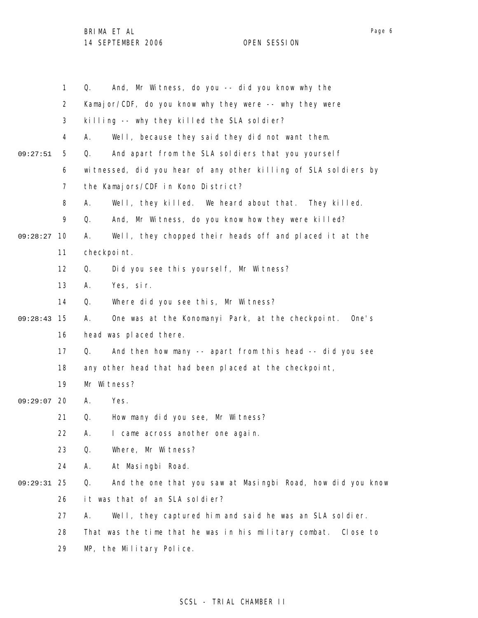|          | $\mathbf{1}$   | And, Mr Witness, do you -- did you know why the<br>Q.             |
|----------|----------------|-------------------------------------------------------------------|
|          | 2              | Kamajor/CDF, do you know why they were -- why they were           |
|          | 3              | killing -- why they killed the SLA soldier?                       |
|          | $\overline{4}$ | Well, because they said they did not want them.<br>А.             |
| 09:27:51 | 5              | And apart from the SLA soldiers that you yourself<br>Q.           |
|          | 6              | witnessed, did you hear of any other killing of SLA soldiers by   |
|          | 7              | the Kamajors/CDF in Kono District?                                |
|          | 8              | Well, they killed. We heard about that. They killed.<br>А.        |
|          | 9              | And, Mr Witness, do you know how they were killed?<br>Q.          |
| 09:28:27 | 10             | Well, they chopped their heads off and placed it at the<br>А.     |
|          | 11             | checkpoint.                                                       |
|          | 12             | Did you see this yourself, Mr Witness?<br>Q.                      |
|          | 13             | Yes, sir.<br>А.                                                   |
|          | 14             | Where did you see this, Mr Witness?<br>Q.                         |
| 09:28:43 | 15             | One was at the Konomanyi Park, at the checkpoint. One's<br>А.     |
|          | 16             | head was placed there.                                            |
|          | 17             | And then how many -- apart from this head -- did you see<br>Q.    |
|          | 18             | any other head that had been placed at the checkpoint,            |
|          | 19             | Mr Witness?                                                       |
| 09:29:07 | 20             | Yes.<br>Α.                                                        |
|          | 21             | How many did you see, Mr Witness?<br>Q.                           |
|          | 22             | Α.<br>I came across another one again.                            |
|          | 23             | Q.<br>Where, Mr Witness?                                          |
|          | 24             | At Masingbi Road.<br>А.                                           |
| 09:29:31 | 25             | Q.<br>And the one that you saw at Masingbi Road, how did you know |
|          | 26             | it was that of an SLA soldier?                                    |
|          | 27             | Well, they captured him and said he was an SLA soldier.<br>А.     |
|          | 28             | That was the time that he was in his military combat.<br>Close to |
|          | 29             | MP, the Military Police.                                          |

## SCSL - TRIAL CHAMBER II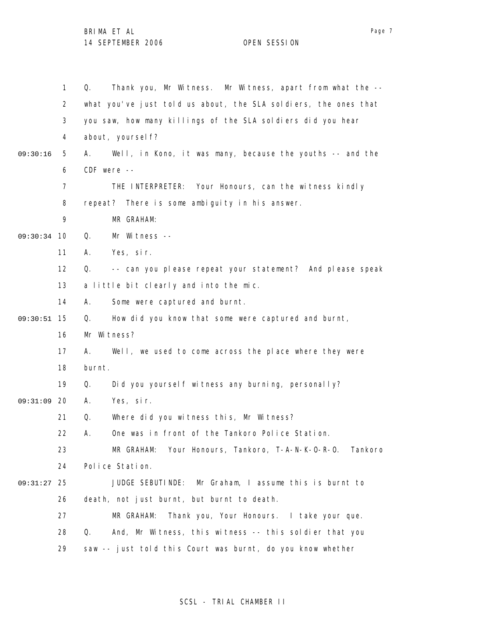1 2 3 4 5 6 7 8 9 09:30:34 10 11 12 13 14 15 09:30:51 16 17 18 19 09:31:09 20 21 22 23 24 25 09:31:27 26 27 28 29 09:30:16 Q. Thank you, Mr Witness. Mr Witness, apart from what the - what you've just told us about, the SLA soldiers, the ones that you saw, how many killings of the SLA soldiers did you hear about, yourself? A. Well, in Kono, it was many, because the youths -- and the CDF were -- THE INTERPRETER: Your Honours, can the witness kindly repeat? There is some ambiguity in his answer. MR GRAHAM: Q. Mr Witness -- A. Yes, sir. Q. -- can you please repeat your statement? And please speak a little bit clearly and into the mic. A. Some were captured and burnt. Q. How did you know that some were captured and burnt, Mr Witness? A. Well, we used to come across the place where they were burnt. Q. Did you yourself witness any burning, personally? A. Yes, sir. Q. Where did you witness this, Mr Witness? A. One was in front of the Tankoro Police Station. MR GRAHAM: Your Honours, Tankoro, T-A-N-K-O-R-O. Tankoro Police Station. JUDGE SEBUTINDE: Mr Graham, I assume this is burnt to death, not just burnt, but burnt to death. MR GRAHAM: Thank you, Your Honours. I take your que. Q. And, Mr Witness, this witness -- this soldier that you saw -- just told this Court was burnt, do you know whether

### SCSL - TRIAL CHAMBER II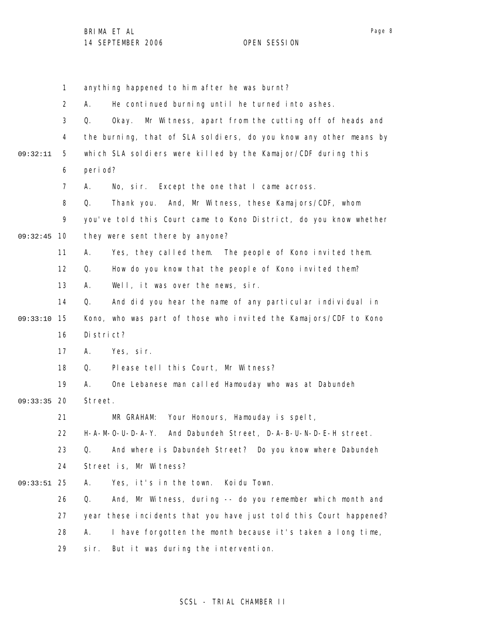|          | 1              | anything happened to him after he was burnt?                       |
|----------|----------------|--------------------------------------------------------------------|
|          | $\overline{2}$ | He continued burning until he turned into ashes.<br>А.             |
|          | 3              | Mr Witness, apart from the cutting off of heads and<br>Q.<br>0kay. |
|          | 4              | the burning, that of SLA soldiers, do you know any other means by  |
| 09:32:11 | 5              | which SLA soldiers were killed by the Kamajor/CDF during this      |
|          | 6              | peri od?                                                           |
|          | $\overline{7}$ | No, sir. Except the one that I came across.<br>А.                  |
|          | 8              | Thank you. And, Mr Witness, these Kamajors/CDF, whom<br>Q.         |
|          | 9              | you've told this Court came to Kono District, do you know whether  |
| 09:32:45 | 10             | they were sent there by anyone?                                    |
|          | 11             | Yes, they called them. The people of Kono invited them.<br>А.      |
|          | 12             | How do you know that the people of Kono invited them?<br>Q.        |
|          | 13             | Well, it was over the news, sir.<br>А.                             |
|          | 14             | And did you hear the name of any particular individual in<br>Q.    |
| 09:33:10 | 15             | Kono, who was part of those who invited the Kamajors/CDF to Kono   |
|          | 16             | District?                                                          |
|          | 17             | Yes, sir.<br>Α.                                                    |
|          | 18             | Please tell this Court, Mr Witness?<br>Q.                          |
|          | 19             | One Lebanese man called Hamouday who was at Dabundeh<br>А.         |
| 09:33:35 | 20             | Street.                                                            |
|          | 21             | Your Honours, Hamouday is spelt,<br>MR GRAHAM:                     |
|          | 22             | H-A-M-O-U-D-A-Y. And Dabundeh Street, D-A-B-U-N-D-E-H street.      |
|          | 23             | And where is Dabundeh Street? Do you know where Dabundeh<br>Q.     |
|          | 24             | Street is, Mr Witness?                                             |
| 09:33:51 | 25             | Yes, it's in the town.<br>Koi du Town.<br>А.                       |
|          | 26             | And, Mr Witness, during -- do you remember which month and<br>Q.   |
|          | 27             | year these incidents that you have just told this Court happened?  |
|          | 28             | I have forgotten the month because it's taken a long time,<br>А.   |
|          | 29             | si r.<br>But it was during the intervention.                       |
|          |                |                                                                    |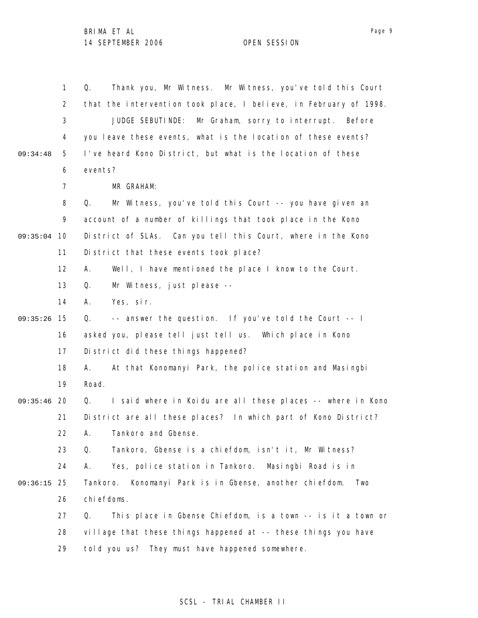| $\mathbf{1}$   | Thank you, Mr Witness. Mr Witness, you've told this Court<br>Q.   |
|----------------|-------------------------------------------------------------------|
| $\overline{2}$ | that the intervention took place, I believe, in February of 1998. |
| 3              | JUDGE SEBUTINDE:<br>Mr Graham, sorry to interrupt. Before         |
| 4              | you leave these events, what is the location of these events?     |
| 5              | I've heard Kono District, but what is the location of these       |
| 6              | events?                                                           |
| $\overline{7}$ | MR GRAHAM:                                                        |
| 8              | Mr Witness, you've told this Court -- you have given an<br>Q.     |
| 9              | account of a number of killings that took place in the Kono       |
|                | District of SLAs. Can you tell this Court, where in the Kono      |
| 11             | District that these events took place?                            |
| 12             | Well, I have mentioned the place I know to the Court.<br>А.       |
| 13             | Mr Witness, just please --<br>Q.                                  |
| 14             | А.<br>Yes, sir.                                                   |
| 15             | -- answer the question. If you've told the Court -- I<br>Q.       |
| 16             | asked you, please tell just tell us. Which place in Kono          |
| 17             | District did these things happened?                               |
| 18             | At that Konomanyi Park, the police station and Masingbi<br>А.     |
| 19             | Road.                                                             |
| 20             | I said where in Koidu are all these places -- where in Kono<br>Q. |
| 21             | District are all these places? In which part of Kono District?    |
| 22.            | A. Tankoro and Gbense                                             |
| 23             | Tankoro, Gbense is a chiefdom, isn't it, Mr Witness?<br>Q.        |
| 24             | Yes, police station in Tankoro. Masingbi Road is in<br>А.         |
|                | Konomanyi Park is in Gbense, another chiefdom.<br>Tankoro.<br>Two |
| 26             | chiefdoms.                                                        |
| 27             | This place in Gbense Chiefdom, is a town -- is it a town or<br>Q. |
| 28             | village that these things happened at -- these things you have    |
| 29             | told you us? They must have happened somewhere.                   |
|                | - 10<br>- 25                                                      |

# SCSL - TRIAL CHAMBER II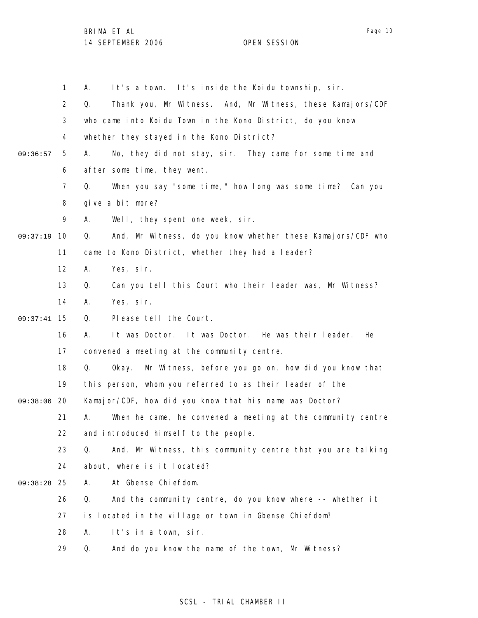1 2 3 4 5 6 7 8 9 09:37:19 10 11 12 13 14 15 09:37:41 16 17 18 19 09:38:06 20 21 22 23 24 25 09:38:28 26 27 28 29 09:36:57 A. It's a town. It's inside the Koidu township, sir. Q. Thank you, Mr Witness. And, Mr Witness, these Kamajors/CDF who came into Koidu Town in the Kono District, do you know whether they stayed in the Kono District? A. No, they did not stay, sir. They came for some time and after some time, they went. Q. When you say "some time," how long was some time? Can you give a bit more? A. Well, they spent one week, sir. Q. And, Mr Witness, do you know whether these Kamajors/CDF who came to Kono District, whether they had a leader? A. Yes, sir. Q. Can you tell this Court who their leader was, Mr Witness? A. Yes, sir. Q. Please tell the Court. A. It was Doctor. It was Doctor. He was their leader. He convened a meeting at the community centre. Q. Okay. Mr Witness, before you go on, how did you know that this person, whom you referred to as their leader of the Kamajor/CDF, how did you know that his name was Doctor? A. When he came, he convened a meeting at the community centre and introduced himself to the people. Q. And, Mr Witness, this community centre that you are talking about, where is it located? A. At Gbense Chiefdom. Q. And the community centre, do you know where -- whether it is located in the village or town in Gbense Chiefdom? A. It's in a town, sir. Q. And do you know the name of the town, Mr Witness?

## SCSL - TRIAL CHAMBER II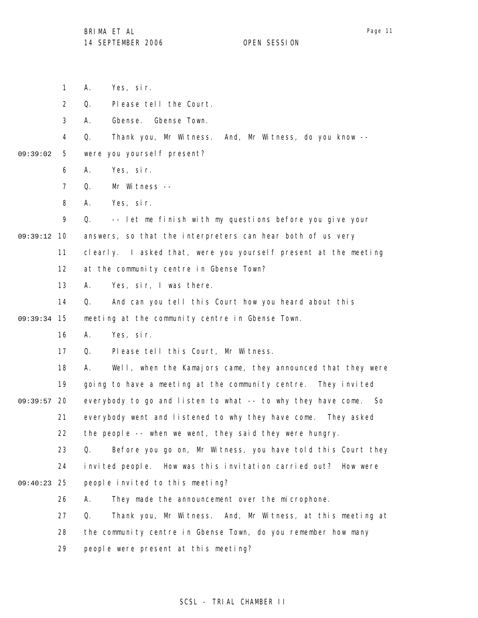1 2 3 4 5 6 7 8 9 09:39:12 10 11 12 13 14 15 09:39:34 16 17 18 19 09:39:57 20 21 22 23 24 25 09:40:23 26 27 28 29 09:39:02 A. Yes, sir. Q. Please tell the Court. A. Gbense. Gbense Town. Q. Thank you, Mr Witness. And, Mr Witness, do you know - were you yourself present? A. Yes, sir. Q. Mr Witness -- A. Yes, sir. Q. -- let me finish with my questions before you give your answers, so that the interpreters can hear both of us very clearly. I asked that, were you yourself present at the meeting at the community centre in Gbense Town? A. Yes, sir, I was there. Q. And can you tell this Court how you heard about this meeting at the community centre in Gbense Town. A. Yes, sir. Q. Please tell this Court, Mr Witness. A. Well, when the Kamajors came, they announced that they were going to have a meeting at the community centre. They invited everybody to go and listen to what -- to why they have come. So everybody went and listened to why they have come. They asked the people -- when we went, they said they were hungry. Q. Before you go on, Mr Witness, you have told this Court they invited people. How was this invitation carried out? How were people invited to this meeting? A. They made the announcement over the microphone. Q. Thank you, Mr Witness. And, Mr Witness, at this meeting at the community centre in Gbense Town, do you remember how many people were present at this meeting?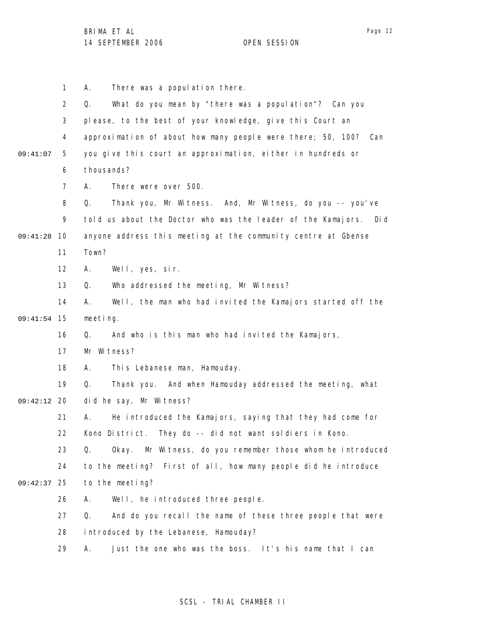1 2 3 4 5 6 7 8 9 09:41:28 10 11 12 13 14 15 09:41:54 16 17 18 19 09:42:12 20 21 22 23 24 25 09:42:37 26 27 28 29 09:41:07 A. There was a population there. Q. What do you mean by "there was a population"? Can you please, to the best of your knowledge, give this Court an approximation of about how many people were there; 50, 100? Can you give this court an approximation, either in hundreds or thousands? A. There were over 500. Q. Thank you, Mr Witness. And, Mr Witness, do you -- you've told us about the Doctor who was the leader of the Kamajors. Did anyone address this meeting at the community centre at Gbense Town? A. Well, yes, sir. Q. Who addressed the meeting, Mr Witness? A. Well, the man who had invited the Kamajors started off the meeting. Q. And who is this man who had invited the Kamajors, Mr Witness? A. This Lebanese man, Hamouday. Q. Thank you. And when Hamouday addressed the meeting, what did he say, Mr Witness? A. He introduced the Kamajors, saying that they had come for Kono District. They do -- did not want soldiers in Kono. Q. Okay. Mr Witness, do you remember those whom he introduced to the meeting? First of all, how many people did he introduce to the meeting? A. Well, he introduced three people. Q. And do you recall the name of these three people that were introduced by the Lebanese, Hamouday? A. Just the one who was the boss. It's his name that I can

## SCSL - TRIAL CHAMBER II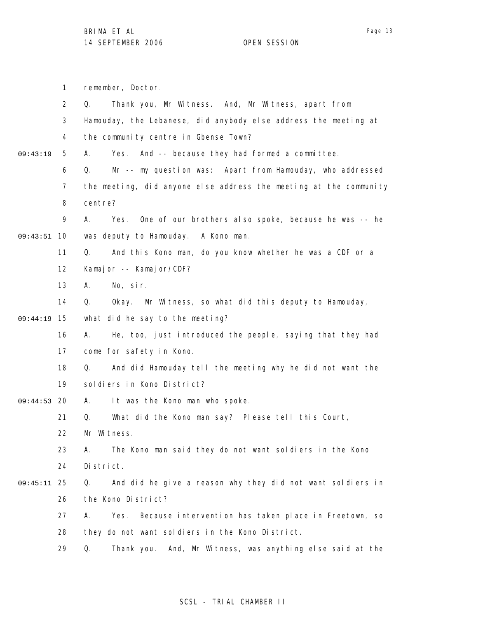|          | $\mathbf{1}$   | remember, Doctor.                                                  |
|----------|----------------|--------------------------------------------------------------------|
|          | $\overline{2}$ | Thank you, Mr Witness. And, Mr Witness, apart from<br>Q.           |
|          | 3              | Hamouday, the Lebanese, did anybody else address the meeting at    |
|          | 4              | the community centre in Gbense Town?                               |
| 09:43:19 | 5              | Yes. And -- because they had formed a committee.<br>А.             |
|          | 6              | Mr -- my question was: Apart from Hamouday, who addressed<br>Q.    |
|          | $\overline{7}$ | the meeting, did anyone else address the meeting at the community  |
|          | 8              | centre?                                                            |
|          | 9              | Yes. One of our brothers also spoke, because he was -- he<br>А.    |
| 09:43:51 | 10             | was deputy to Hamouday. A Kono man.                                |
|          | 11             | And this Kono man, do you know whether he was a CDF or a<br>Q.     |
|          | 12             | Kamajor -- Kamajor/CDF?                                            |
|          | 13             | No, sir.<br>А.                                                     |
|          | 14             | Q.<br>Okay. Mr Witness, so what did this deputy to Hamouday,       |
| 09:44:19 | 15             | what did he say to the meeting?                                    |
|          | 16             | He, too, just introduced the people, saying that they had<br>А.    |
|          | 17             | come for safety in Kono.                                           |
|          | 18             | And did Hamouday tell the meeting why he did not want the<br>Q.    |
|          | 19             | sol diers in Kono District?                                        |
| 09:44:53 | -20            | It was the Kono man who spoke.<br>А.                               |
|          | 21             | Q.<br>What did the Kono man say? Please tell this Court,           |
|          | 22             | Mr Witness.                                                        |
|          | 23             | The Kono man said they do not want soldiers in the Kono<br>А.      |
|          | 24             | District.                                                          |
| 09:45:11 | -25            | And did he give a reason why they did not want soldiers in<br>Q.   |
|          | 26             | the Kono District?                                                 |
|          | 27             | Because intervention has taken place in Freetown, so<br>Yes.<br>А. |
|          | 28             | they do not want soldiers in the Kono District.                    |
|          | 29             | And, Mr Witness, was anything else said at the<br>Q.<br>Thank you. |
|          |                |                                                                    |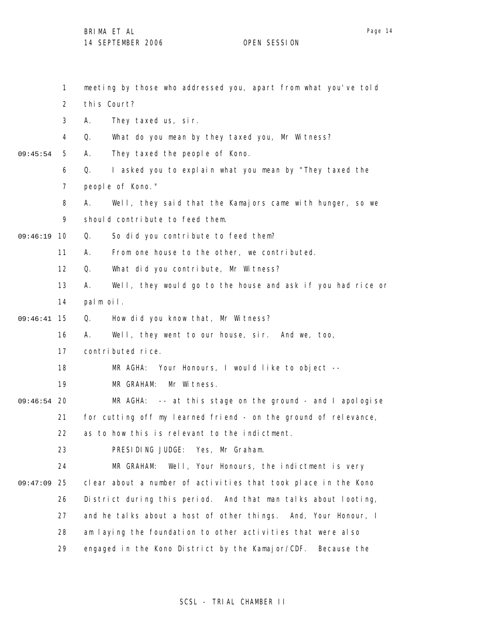1 2 3 4 5 6 7 8 9 09:46:19 10 11 12 13 14 15 09:46:41 16 17 18 19 09:46:54 20 21 22 23 24 25 09:47:09 26 27 28 29 09:45:54 meeting by those who addressed you, apart from what you've told this Court? A. They taxed us, sir. Q. What do you mean by they taxed you, Mr Witness? A. They taxed the people of Kono. Q. I asked you to explain what you mean by "They taxed the people of Kono." A. Well, they said that the Kamajors came with hunger, so we should contribute to feed them. Q. So did you contribute to feed them? A. From one house to the other, we contributed. Q. What did you contribute, Mr Witness? A. Well, they would go to the house and ask if you had rice or palm oil. Q. How did you know that, Mr Witness? A. Well, they went to our house, sir. And we, too, contributed rice. MR AGHA: Your Honours, I would like to object -- MR GRAHAM: Mr Witness. MR AGHA: -- at this stage on the ground - and I apologise for cutting off my learned friend - on the ground of relevance, as to how this is relevant to the indictment. PRESIDING JUDGE: Yes, Mr Graham. MR GRAHAM: Well, Your Honours, the indictment is very clear about a number of activities that took place in the Kono District during this period. And that man talks about looting, and he talks about a host of other things. And, Your Honour, I am laying the foundation to other activities that were also engaged in the Kono District by the Kamajor/CDF. Because the

## SCSL - TRIAL CHAMBER II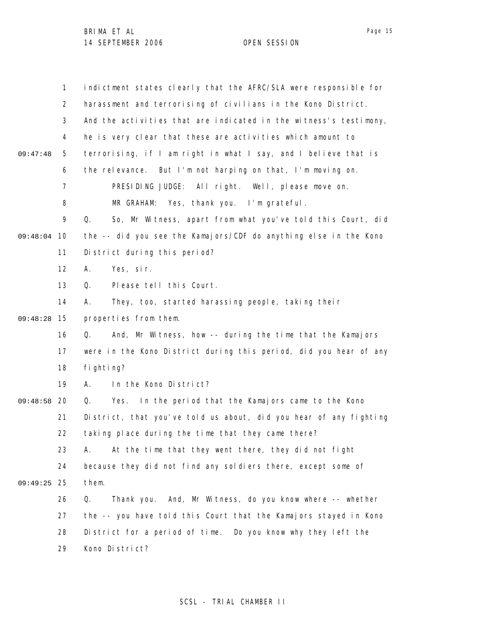|          | $\mathbf{1}$   | indictment states clearly that the AFRC/SLA were responsible for  |
|----------|----------------|-------------------------------------------------------------------|
|          | 2              | harassment and terrorising of civilians in the Kono District.     |
|          | 3              | And the activities that are indicated in the witness's testimony, |
|          | 4              | he is very clear that these are activities which amount to        |
| 09:47:48 | 5              | terrorising, if I am right in what I say, and I believe that is   |
|          | 6              | the relevance. But I'm not harping on that, I'm moving on.        |
|          | $\overline{7}$ | PRESIDING JUDGE: All right. Well, please move on.                 |
|          | 8              | MR GRAHAM: Yes, thank you. I'm grateful.                          |
|          | 9              | So, Mr Witness, apart from what you've told this Court, did<br>Q. |
| 09:48:04 | 10             | the -- did you see the Kamajors/CDF do anything else in the Kono  |
|          | 11             | District during this period?                                      |
|          | 12             | Yes, sir.<br>Α.                                                   |
|          | 13             | Please tell this Court.<br>Q.                                     |
|          | 14             | They, too, started harassing people, taking their<br>Α.           |
| 09:48:28 | 15             | properties from them.                                             |
|          | 16             | And, Mr Witness, how -- during the time that the Kamajors<br>Q.   |
|          | 17             | were in the Kono District during this period, did you hear of any |
|          | 18             | fi ghti ng?                                                       |
|          | 19             | In the Kono District?<br>А.                                       |
| 09:48:58 | 20             | Yes. In the period that the Kamajors came to the Kono<br>Q.       |
|          | 21             | District, that you've told us about, did you hear of any fighting |
|          | 22             | taking place during the time that they came there?                |
|          | 23             | At the time that they went there, they did not fight<br>А.        |
|          | 24             | because they did not find any soldiers there, except some of      |
| 09:49:25 | 25             | them.                                                             |
|          | 26             | Thank you. And, Mr Witness, do you know where -- whether<br>Q.    |
|          | 27             | the -- you have told this Court that the Kamajors stayed in Kono  |
|          | 28             | District for a period of time. Do you know why they left the      |
|          | 29             | Kono District?                                                    |

## SCSL - TRIAL CHAMBER II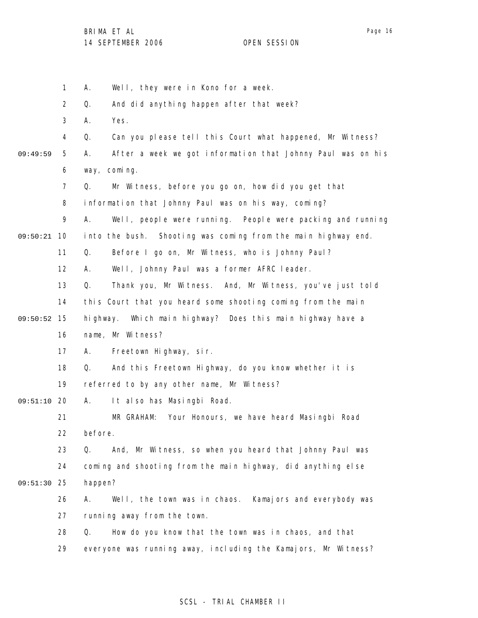|          | $\mathbf{1}$   | Well, they were in Kono for a week.<br>А.                         |
|----------|----------------|-------------------------------------------------------------------|
|          | 2              | And did anything happen after that week?<br>Q.                    |
|          | 3              | Yes.<br>А.                                                        |
|          | $\overline{4}$ | Q.<br>Can you please tell this Court what happened, Mr Witness?   |
| 09:49:59 | 5              | After a week we got information that Johnny Paul was on his<br>А. |
|          | 6              | coming.<br>way,                                                   |
|          | $\overline{7}$ | Mr Witness, before you go on, how did you get that<br>Q.          |
|          | 8              | information that Johnny Paul was on his way, coming?              |
|          | 9              | Well, people were running. People were packing and running<br>А.  |
| 09:50:21 | 10             | into the bush. Shooting was coming from the main highway end.     |
|          | 11             | Before I go on, Mr Witness, who is Johnny Paul?<br>Q.             |
|          | 12             | Well, Johnny Paul was a former AFRC leader.<br>А.                 |
|          | 13             | Q.<br>Thank you, Mr Witness. And, Mr Witness, you've just told    |
|          | 14             | this Court that you heard some shooting coming from the main      |
| 09:50:52 | 15             | Which main highway? Does this main highway have a<br>hi ghway.    |
|          | 16             | name, Mr Witness?                                                 |
|          | 17             | Freetown Highway, sir.<br>А.                                      |
|          | 18             | Q.<br>And this Freetown Highway, do you know whether it is        |
|          | 19             | referred to by any other name, Mr Witness?                        |
| 09:51:10 | -20            | It also has Masingbi Road.<br>А.                                  |
|          | 21             | Your Honours, we have heard Masingbi Road<br>MR GRAHAM:           |
|          | 22             | before.                                                           |
|          | 23             | And, Mr Witness, so when you heard that Johnny Paul was<br>Q.     |
|          | 24             | coming and shooting from the main highway, did anything else      |
| 09:51:30 | 25             | happen?                                                           |
|          | 26             | Well, the town was in chaos. Kamajors and everybody was<br>А.     |
|          | 27             | running away from the town.                                       |
|          | 28             | How do you know that the town was in chaos, and that<br>Q.        |
|          | 29             | everyone was running away, including the Kamajors, Mr Witness?    |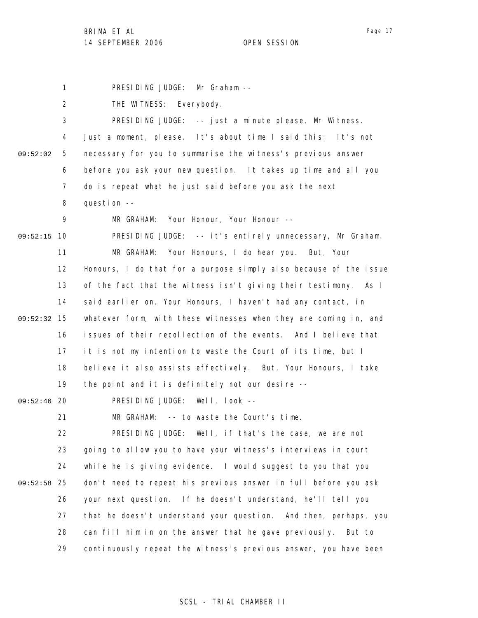1 PRESIDING JUDGE: Mr Graham --

2 THE WITNESS: Everybody.

3 4 5 6 7 8 9 09:52:15 10 11 12 13 14 15 09:52:32 16 17 18 19 09:52:46 20 21 22 23 24 09:52:58 25 26 27 09:52:02 PRESIDING JUDGE: -- just a minute please, Mr Witness. Just a moment, please. It's about time I said this: It's not necessary for you to summarise the witness's previous answer before you ask your new question. It takes up time and all you do is repeat what he just said before you ask the next question -- MR GRAHAM: Your Honour, Your Honour -- PRESIDING JUDGE: -- it's entirely unnecessary, Mr Graham. MR GRAHAM: Your Honours, I do hear you. But, Your Honours, I do that for a purpose simply also because of the issue of the fact that the witness isn't giving their testimony. As I said earlier on, Your Honours, I haven't had any contact, in whatever form, with these witnesses when they are coming in, and issues of their recollection of the events. And I believe that it is not my intention to waste the Court of its time, but I believe it also assists effectively. But, Your Honours, I take the point and it is definitely not our desire -- PRESIDING JUDGE: Well, look -- MR GRAHAM: -- to waste the Court's time. PRESIDING JUDGE: Well, if that's the case, we are not going to allow you to have your witness's interviews in court while he is giving evidence. I would suggest to you that you don't need to repeat his previous answer in full before you ask your next question. If he doesn't understand, he'll tell you that he doesn't understand your question. And then, perhaps, you

28 29 can fill him in on the answer that he gave previously. But to continuously repeat the witness's previous answer, you have been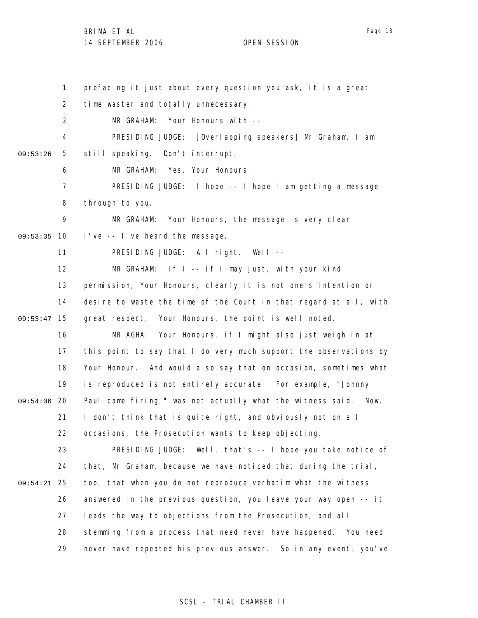1 2 3 4 5 6 7 8 9 09:53:35 10 11 12 13 14 09:53:47 15 16 17 18 19 09:54:06 20 21 22 23 24 25 09:54:21 26 27 28 29 09:53:26 prefacing it just about every question you ask, it is a great time waster and totally unnecessary. MR GRAHAM: Your Honours with --PRESIDING JUDGE: [Overlapping speakers] Mr Graham, I am still speaking. Don't interrupt. MR GRAHAM: Yes, Your Honours. PRESIDING JUDGE: I hope -- I hope I am getting a message through to you. MR GRAHAM: Your Honours, the message is very clear. I've -- I've heard the message. PRESIDING JUDGE: All right. Well -- MR GRAHAM: If I -- if I may just, with your kind permission, Your Honours, clearly it is not one's intention or desire to waste the time of the Court in that regard at all, with great respect. Your Honours, the point is well noted. MR AGHA: Your Honours, if I might also just weigh in at this point to say that I do very much support the observations by Your Honour. And would also say that on occasion, sometimes what is reproduced is not entirely accurate. For example, "Johnny Paul came firing," was not actually what the witness said. Now, I don't think that is quite right, and obviously not on all occasions, the Prosecution wants to keep objecting. PRESIDING JUDGE: Well, that's -- I hope you take notice of that, Mr Graham, because we have noticed that during the trial, too, that when you do not reproduce verbatim what the witness answered in the previous question, you leave your way open -- it leads the way to objections from the Prosecution, and all stemming from a process that need never have happened. You need never have repeated his previous answer. So in any event, you've

## SCSL - TRIAL CHAMBER II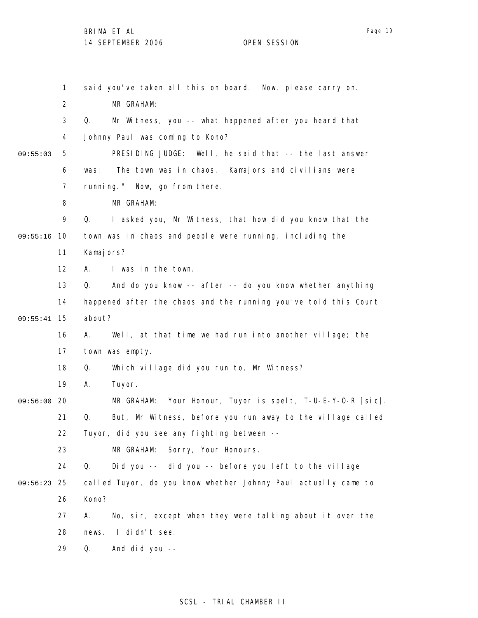|          | $\mathbf{1}$   | said you've taken all this on board. Now, please carry on.       |
|----------|----------------|------------------------------------------------------------------|
|          | $\overline{2}$ | MR GRAHAM:                                                       |
|          | 3              | Q.<br>Mr Witness, you -- what happened after you heard that      |
|          | 4              | Johnny Paul was coming to Kono?                                  |
| 09:55:03 | 5              | PRESIDING JUDGE: Well, he said that -- the last answer           |
|          | 6              | "The town was in chaos. Kamajors and civilians were<br>was:      |
|          | $\overline{7}$ | running." Now, go from there.                                    |
|          | 8              | MR GRAHAM:                                                       |
|          | 9              | Q.<br>I asked you, Mr Witness, that how did you know that the    |
| 09:55:16 | 10             | town was in chaos and people were running, including the         |
|          | 11             | Kamaj ors?                                                       |
|          | 12             | I was in the town.<br>А.                                         |
|          | 13             | And do you know -- after -- do you know whether anything<br>Q.   |
|          | 14             | happened after the chaos and the running you've told this Court  |
| 09:55:41 | 15             | about?                                                           |
|          | 16             | Well, at that time we had run into another village; the<br>А.    |
|          | 17             | town was empty.                                                  |
|          | 18             | Which village did you run to, Mr Witness?<br>Q.                  |
|          | 19             | Α.<br>Tuyor.                                                     |
| 09:56:00 | 20             | MR GRAHAM: Your Honour, Tuyor is spelt, T-U-E-Y-O-R [sic].       |
|          | 21             | But, Mr Witness, before you run away to the village called<br>Q. |
|          | 22             | Tuyor, did you see any fighting between --                       |
|          | 23             | MR GRAHAM:<br>Sorry, Your Honours.                               |
|          | 24             | Q.<br>Did you -- did you -- before you left to the village       |
| 09:56:23 | 25             | called Tuyor, do you know whether Johnny Paul actually came to   |
|          | 26             | Kono?                                                            |
|          | 27             | No, sir, except when they were talking about it over the<br>А.   |
|          | 28             | I didn't see.<br>news.                                           |
|          | 29             | Q.<br>And did you --                                             |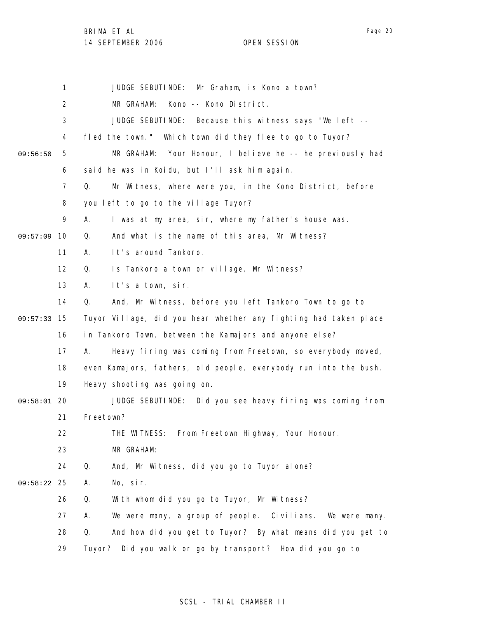BRIMA ET AL

14 SEPTEMBER 2006 OPEN SESSION

1 2 3 4 5 6 7 8 9 09:57:09 10 11 12 13 14 15 09:57:33 16 17 18 19 09:58:01 20 21 22 23 24 25 09:58:22 26 27 28 29 09:56:50 JUDGE SEBUTINDE: Mr Graham, is Kono a town? MR GRAHAM: Kono -- Kono District. JUDGE SEBUTINDE: Because this witness says "We left - fled the town." Which town did they flee to go to Tuyor? MR GRAHAM: Your Honour, I believe he -- he previously had said he was in Koidu, but I'll ask him again. Q. Mr Witness, where were you, in the Kono District, before you left to go to the village Tuyor? A. I was at my area, sir, where my father's house was. Q. And what is the name of this area, Mr Witness? A. It's around Tankoro. Q. Is Tankoro a town or village, Mr Witness? A. It's a town, sir. Q. And, Mr Witness, before you left Tankoro Town to go to Tuyor Village, did you hear whether any fighting had taken place in Tankoro Town, between the Kamajors and anyone else? A. Heavy firing was coming from Freetown, so everybody moved, even Kamajors, fathers, old people, everybody run into the bush. Heavy shooting was going on. JUDGE SEBUTINDE: Did you see heavy firing was coming from Freetown? THE WITNESS: From Freetown Highway, Your Honour. MR GRAHAM: Q. And, Mr Witness, did you go to Tuyor alone? A. No, sir. Q. With whom did you go to Tuyor, Mr Witness? A. We were many, a group of people. Civilians. We were many. Q. And how did you get to Tuyor? By what means did you get to Tuyor? Did you walk or go by transport? How did you go to

## SCSL - TRIAL CHAMBER II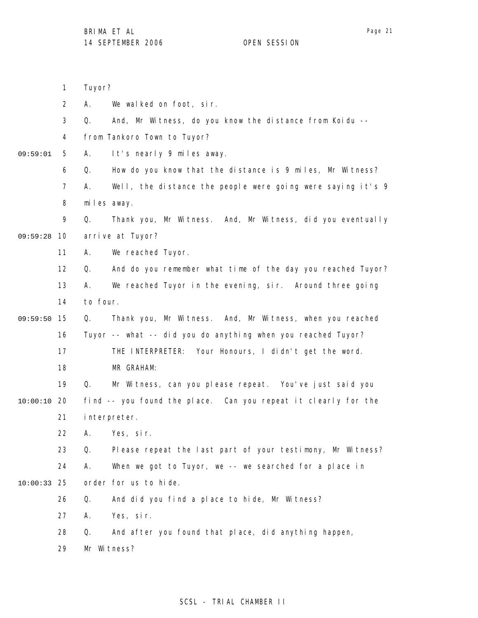1

Tuyor?

miles away.

arrive at Tuyor?

MR GRAHAM:

2

3

4

5

6

7

8

9

11

12

13

14

16

17

18

09:59:28 10

09:59:01

09:59:50 15

- A. We walked on foot, sir. Q. And, Mr Witness, do you know the distance from Koidu - from Tankoro Town to Tuyor? A. It's nearly 9 miles away. Q. How do you know that the distance is 9 miles, Mr Witness? A. Well, the distance the people were going were saying it's 9 Q. Thank you, Mr Witness. And, Mr Witness, did you eventually A. We reached Tuyor. Q. And do you remember what time of the day you reached Tuyor? A. We reached Tuyor in the evening, sir. Around three going Q. Thank you, Mr Witness. And, Mr Witness, when you reached Tuyor -- what -- did you do anything when you reached Tuyor? THE INTERPRETER: Your Honours, I didn't get the word.
- 19 20 10:00:10 Q. Mr Witness, can you please repeat. You've just said you find -- you found the place. Can you repeat it clearly for the
	- 21 interpreter.

to four.

22 A. Yes, sir.

23 24 25 10:00:33 Q. Please repeat the last part of your testimony, Mr Witness? A. When we got to Tuyor, we -- we searched for a place in order for us to hide.

- 26 Q. And did you find a place to hide, Mr Witness?
- 27 A. Yes, sir.
- 28 Q. And after you found that place, did anything happen,
- 29 Mr Witness?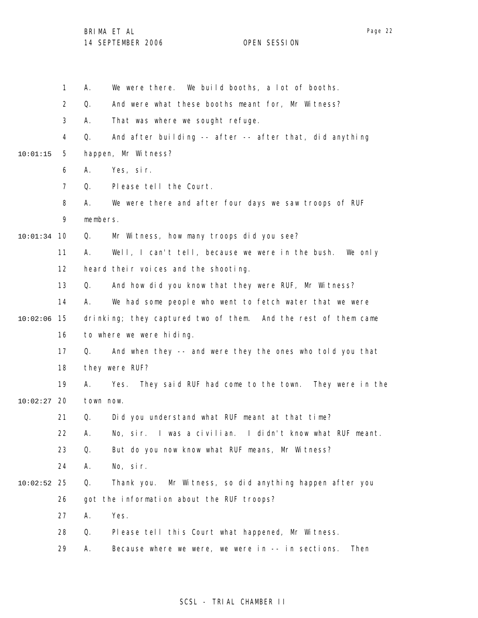|               | $\mathbf{1}$   | А.        | We were there. We build booths, a lot of booths.               |
|---------------|----------------|-----------|----------------------------------------------------------------|
|               | $\overline{2}$ | Q.        | And were what these booths meant for, Mr Witness?              |
|               | 3              | А.        | That was where we sought refuge.                               |
|               | 4              | Q.        | And after building -- after -- after that, did anything        |
| 10:01:15      | 5              |           | happen, Mr Witness?                                            |
|               | 6              | А.        | Yes, sir.                                                      |
|               | $\overline{7}$ | Q.        | Please tell the Court.                                         |
|               | 8              | А.        | We were there and after four days we saw troops of RUF         |
|               | 9              | members.  |                                                                |
| $10:01:34$ 10 |                | Q.        | Mr Witness, how many troops did you see?                       |
|               | 11             | А.        | Well, I can't tell, because we were in the bush. We only       |
|               | 12             |           | heard their voices and the shooting.                           |
|               | 13             | Q.        | And how did you know that they were RUF, Mr Witness?           |
|               | 14             | А.        | We had some people who went to fetch water that we were        |
| 10:02:06      | 15             |           | drinking; they captured two of them. And the rest of them came |
|               | 16             |           | to where we were hiding.                                       |
|               | 17             | Q.        | And when they -- and were they the ones who told you that      |
|               | 18             |           | they were RUF?                                                 |
|               | 19             | А.        | Yes. They said RUF had come to the town. They were in the      |
| 10:02:27      | 20             | town now. |                                                                |
|               | 21             | Q.        | Did you understand what RUF meant at that time?                |
|               | 22             | Α.        | No, sir. I was a civilian. I didn't know what RUF meant.       |
|               | 23             | Q.        | But do you now know what RUF means, Mr Witness?                |
|               | 24             | А.        | No, sir.                                                       |
| 10:02:52      | -25            | Q.        | Thank you. Mr Witness, so did anything happen after you        |
|               | 26             |           | got the information about the RUF troops?                      |
|               | 27             | Α.        | Yes.                                                           |
|               | 28             | Q.        | Please tell this Court what happened, Mr Witness.              |
|               | 29             | А.        | Because where we were, we were in -- in sections.<br>Then      |
|               |                |           |                                                                |

## SCSL - TRIAL CHAMBER II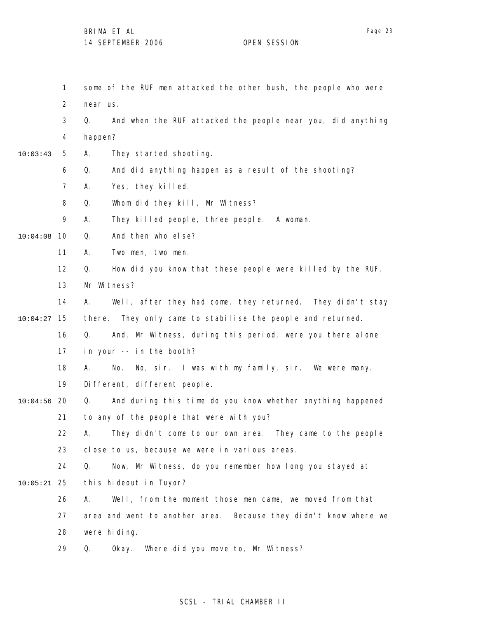1 2 3 4 5 6 7 8 9 10 10:04:08 11 12 13 14 15 10:04:27 16 17 18 19 20 10:04:56 21 22 23 24 25 10:05:21 26 27 28 29 10:03:43 some of the RUF men attacked the other bush, the people who were near us. Q. And when the RUF attacked the people near you, did anything happen? A. They started shooting. Q. And did anything happen as a result of the shooting? A. Yes, they killed. Q. Whom did they kill, Mr Witness? A. They killed people, three people. A woman. Q. And then who else? A. Two men, two men. Q. How did you know that these people were killed by the RUF, Mr Witness? A. Well, after they had come, they returned. They didn't stay there. They only came to stabilise the people and returned. Q. And, Mr Witness, during this period, were you there alone in your -- in the booth? A. No. No, sir. I was with my family, sir. We were many. Different, different people. Q. And during this time do you know whether anything happened to any of the people that were with you? A. They didn't come to our own area. They came to the people close to us, because we were in various areas. Q. Now, Mr Witness, do you remember how long you stayed at this hideout in Tuyor? A. Well, from the moment those men came, we moved from that area and went to another area. Because they didn't know where we were hiding. Q. Okay. Where did you move to, Mr Witness?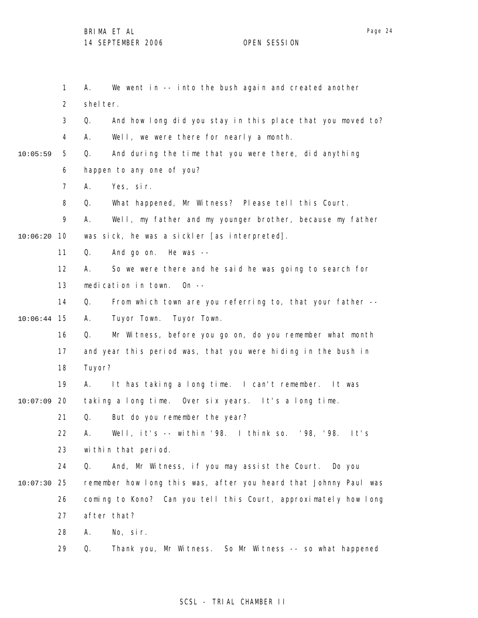1 2 3 4 5 6 7 8 9 10 10:06:20 11 12 13 14 15 10:06:44 16 17 18 19 20 10:07:09 21 22 23 24 25 10:07:30 26 27 28 29 10:05:59 A. We went in -- into the bush again and created another shelter. Q. And how long did you stay in this place that you moved to? A. Well, we were there for nearly a month. Q. And during the time that you were there, did anything happen to any one of you? A. Yes, sir. Q. What happened, Mr Witness? Please tell this Court. A. Well, my father and my younger brother, because my father was sick, he was a sickler [as interpreted]. Q. And go on. He was -- A. So we were there and he said he was going to search for medication in town. On -- Q. From which town are you referring to, that your father -- A. Tuyor Town. Tuyor Town. Q. Mr Witness, before you go on, do you remember what month and year this period was, that you were hiding in the bush in Tuyor? A. It has taking a long time. I can't remember. It was taking a long time. Over six years. It's a long time. Q. But do you remember the year? A. Well, it's -- within '98. I think so. '98, '98. It's within that period. Q. And, Mr Witness, if you may assist the Court. Do you remember how long this was, after you heard that Johnny Paul was coming to Kono? Can you tell this Court, approximately how long after that? A. No, sir. Q. Thank you, Mr Witness. So Mr Witness -- so what happened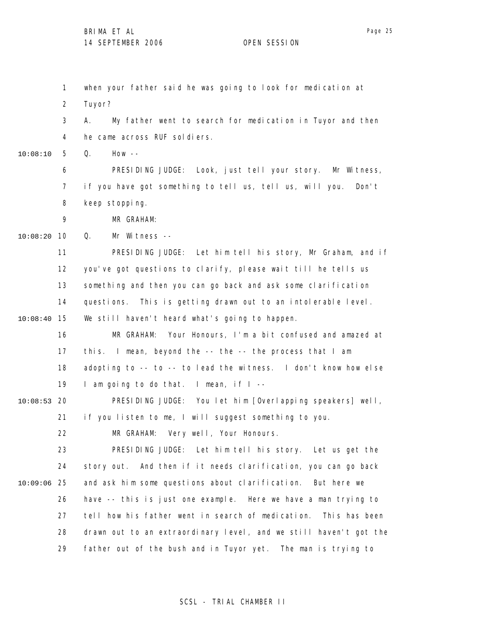1 2 3 4 5 6 7 8 9 10 10:08:20 11 12 13 14 15 10:08:40 16 17 18 19 20 10:08:53 21 22 23 24 25 10:09:06 26 27 28 29 10:08:10 when your father said he was going to look for medication at Tuyor? A. My father went to search for medication in Tuyor and then he came across RUF soldiers. Q. How -- PRESIDING JUDGE: Look, just tell your story. Mr Witness, if you have got something to tell us, tell us, will you. Don't keep stopping. MR GRAHAM: Q. Mr Witness -- PRESIDING JUDGE: Let him tell his story, Mr Graham, and if you've got questions to clarify, please wait till he tells us something and then you can go back and ask some clarification questions. This is getting drawn out to an intolerable level. We still haven't heard what's going to happen. MR GRAHAM: Your Honours, I'm a bit confused and amazed at this. I mean, beyond the -- the -- the process that I am adopting to -- to -- to lead the witness. I don't know how else I am going to do that. I mean, if I -- PRESIDING JUDGE: You let him [Overlapping speakers] well, if you listen to me, I will suggest something to you. MR GRAHAM: Very well, Your Honours. PRESIDING JUDGE: Let him tell his story. Let us get the story out. And then if it needs clarification, you can go back and ask him some questions about clarification. But here we have -- this is just one example. Here we have a man trying to tell how his father went in search of medication. This has been drawn out to an extraordinary level, and we still haven't got the father out of the bush and in Tuyor yet. The man is trying to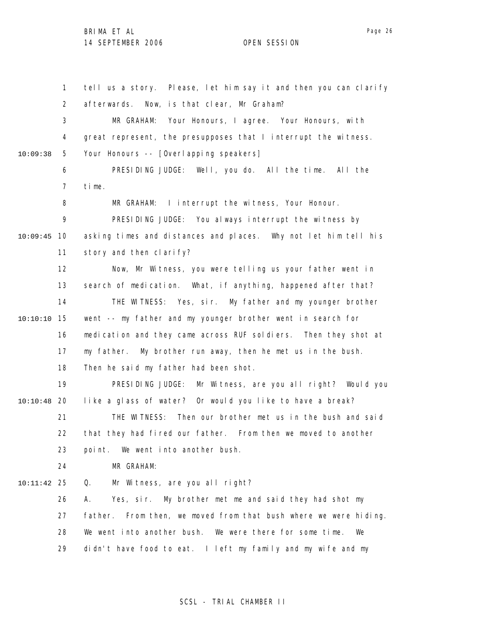1 2 3 4 5 6 7 8 9 10 10:09:45 11 12 13 14 15 10:10:10 16 17 18 19 20 10:10:48 21 22 23 24 25 10:11:42 26 27 28 29 10:09:38 tell us a story. Please, let him say it and then you can clarify afterwards. Now, is that clear, Mr Graham? MR GRAHAM: Your Honours, I agree. Your Honours, with great represent, the presupposes that I interrupt the witness. Your Honours -- [Overlapping speakers] PRESIDING JUDGE: Well, you do. All the time. All the time. MR GRAHAM: I interrupt the witness, Your Honour. PRESIDING JUDGE: You always interrupt the witness by asking times and distances and places. Why not let him tell his story and then clarify? Now, Mr Witness, you were telling us your father went in search of medication. What, if anything, happened after that? THE WITNESS: Yes, sir. My father and my younger brother went -- my father and my younger brother went in search for medication and they came across RUF soldiers. Then they shot at my father. My brother run away, then he met us in the bush. Then he said my father had been shot. PRESIDING JUDGE: Mr Witness, are you all right? Would you like a glass of water? Or would you like to have a break? THE WITNESS: Then our brother met us in the bush and said that they had fired our father. From then we moved to another point. We went into another bush. MR GRAHAM: Q. Mr Witness, are you all right? A. Yes, sir. My brother met me and said they had shot my father. From then, we moved from that bush where we were hiding. We went into another bush. We were there for some time. We didn't have food to eat. I left my family and my wife and my

### SCSL - TRIAL CHAMBER II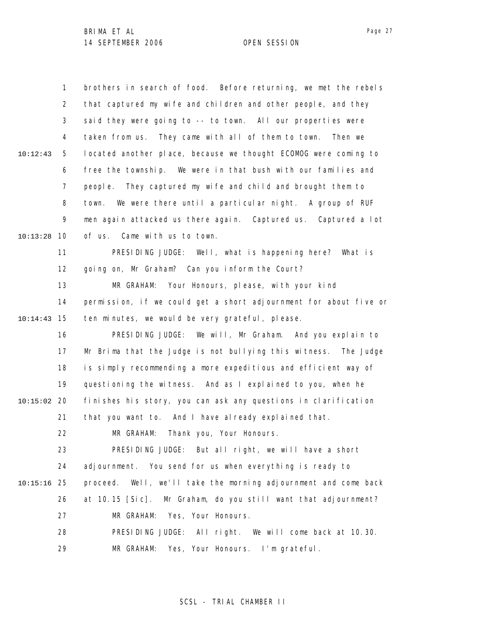1 2 3 4 5 6 7 8 9 10 10:13:28 11 12 13 14 15 10:14:43 16 17 18 19 20 10:15:02 21 22 23 24 25 10:15:16 26 27 28 29 10:12:43 brothers in search of food. Before returning, we met the rebels that captured my wife and children and other people, and they said they were going to -- to town. All our properties were taken from us. They came with all of them to town. Then we located another place, because we thought ECOMOG were coming to free the township. We were in that bush with our families and people. They captured my wife and child and brought them to town. We were there until a particular night. A group of RUF men again attacked us there again. Captured us. Captured a lot of us. Came with us to town. PRESIDING JUDGE: Well, what is happening here? What is going on, Mr Graham? Can you inform the Court? MR GRAHAM: Your Honours, please, with your kind permission, if we could get a short adjournment for about five or ten minutes, we would be very grateful, please. PRESIDING JUDGE: We will, Mr Graham. And you explain to Mr Brima that the Judge is not bullying this witness. The Judge is simply recommending a more expeditious and efficient way of questioning the witness. And as I explained to you, when he finishes his story, you can ask any questions in clarification that you want to. And I have already explained that. MR GRAHAM: Thank you, Your Honours. PRESIDING JUDGE: But all right, we will have a short adjournment. You send for us when everything is ready to proceed. Well, we'll take the morning adjournment and come back at 10.15 [Sic]. Mr Graham, do you still want that adjournment? MR GRAHAM: Yes, Your Honours. PRESIDING JUDGE: All right. We will come back at 10.30. MR GRAHAM: Yes, Your Honours. I'm grateful.

SCSL - TRIAL CHAMBER II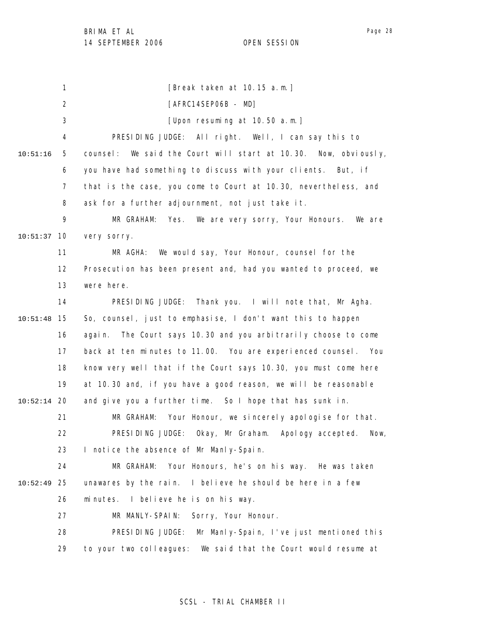1 2 3 4 5 6 7 8 9 10 10:51:37 11 12 13 14 15 10:51:48 16 17 18 19 20 10:52:14 21 22 23 24 25 10:52:49 26 27 28 29 10:51:16 [Break taken at 10.15 a.m.] [AFRC14SEP06B - MD] [Upon resuming at 10.50 a.m.] PRESIDING JUDGE: All right. Well, I can say this to counsel: We said the Court will start at 10.30. Now, obviously, you have had something to discuss with your clients. But, if that is the case, you come to Court at 10.30, nevertheless, and ask for a further adjournment, not just take it. MR GRAHAM: Yes. We are very sorry, Your Honours. We are very sorry. MR AGHA: We would say, Your Honour, counsel for the Prosecution has been present and, had you wanted to proceed, we were here. PRESIDING JUDGE: Thank you. I will note that, Mr Agha. So, counsel, just to emphasise, I don't want this to happen again. The Court says 10.30 and you arbitrarily choose to come back at ten minutes to 11.00. You are experienced counsel. You know very well that if the Court says 10.30, you must come here at 10.30 and, if you have a good reason, we will be reasonable and give you a further time. So I hope that has sunk in. MR GRAHAM: Your Honour, we sincerely apologise for that. PRESIDING JUDGE: Okay, Mr Graham. Apology accepted. Now, I notice the absence of Mr Manly-Spain. MR GRAHAM: Your Honours, he's on his way. He was taken unawares by the rain. I believe he should be here in a few minutes. I believe he is on his way. MR MANLY-SPAIN: Sorry, Your Honour. PRESIDING JUDGE: Mr Manly-Spain, I've just mentioned this to your two colleagues: We said that the Court would resume at

## SCSL - TRIAL CHAMBER II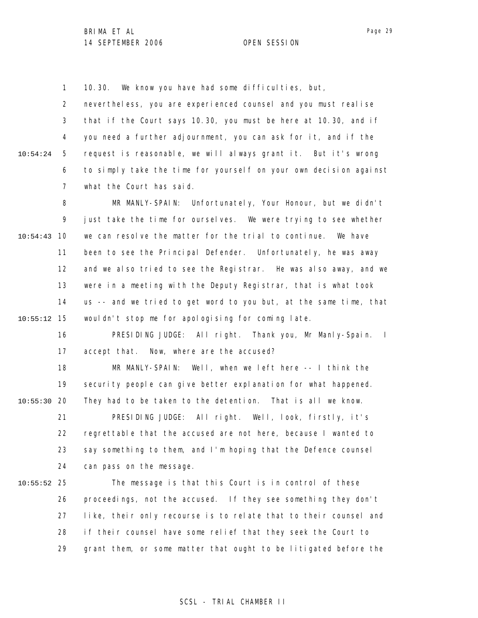1 10.30. We know you have had some difficulties, but,

2 3 4 5 6 7 10:54:24 nevertheless, you are experienced counsel and you must realise that if the Court says 10.30, you must be here at 10.30, and if you need a further adjournment, you can ask for it, and if the request is reasonable, we will always grant it. But it's wrong to simply take the time for yourself on your own decision against what the Court has said.

8 9 10 10:54:43 11 12 13 14 15 10:55:12 MR MANLY-SPAIN: Unfortunately, Your Honour, but we didn't just take the time for ourselves. We were trying to see whether we can resolve the matter for the trial to continue. We have been to see the Principal Defender. Unfortunately, he was away and we also tried to see the Registrar. He was also away, and we were in a meeting with the Deputy Registrar, that is what took us -- and we tried to get word to you but, at the same time, that wouldn't stop me for apologising for coming late.

16 17 PRESIDING JUDGE: All right. Thank you, Mr Manly-Spain. I accept that. Now, where are the accused?

18 19 20 10:55:30 21 MR MANLY-SPAIN: Well, when we left here -- I think the security people can give better explanation for what happened. They had to be taken to the detention. That is all we know. PRESIDING JUDGE: All right. Well, look, firstly, it's

22 23 24 regrettable that the accused are not here, because I wanted to say something to them, and I'm hoping that the Defence counsel can pass on the message.

25 10:55:52 26 27 28 29 The message is that this Court is in control of these proceedings, not the accused. If they see something they don't like, their only recourse is to relate that to their counsel and if their counsel have some relief that they seek the Court to grant them, or some matter that ought to be litigated before the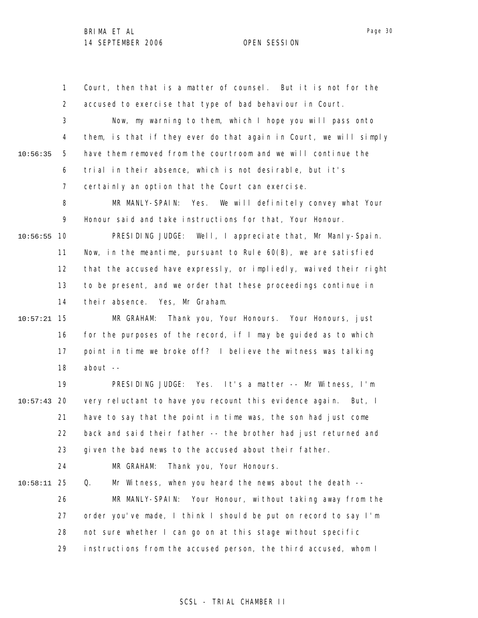1 2 3 4 5 6 7 8 9 10 10:56:55 11 12 13 14 15 10:57:21 16 17 18 19 20 10:57:43 21 22 23 24 25 10:58:11 26 27 28 29 10:56:35 Court, then that is a matter of counsel. But it is not for the accused to exercise that type of bad behaviour in Court. Now, my warning to them, which I hope you will pass onto them, is that if they ever do that again in Court, we will simply have them removed from the courtroom and we will continue the trial in their absence, which is not desirable, but it's certainly an option that the Court can exercise. MR MANLY-SPAIN: Yes. We will definitely convey what Your Honour said and take instructions for that, Your Honour. PRESIDING JUDGE: Well, I appreciate that, Mr Manly-Spain. Now, in the meantime, pursuant to Rule 60(B), we are satisfied that the accused have expressly, or impliedly, waived their right to be present, and we order that these proceedings continue in their absence. Yes, Mr Graham. MR GRAHAM: Thank you, Your Honours. Your Honours, just for the purposes of the record, if I may be guided as to which point in time we broke off? I believe the witness was talking about -- PRESIDING JUDGE: Yes. It's a matter -- Mr Witness, I'm very reluctant to have you recount this evidence again. But, I have to say that the point in time was, the son had just come back and said their father -- the brother had just returned and given the bad news to the accused about their father. MR GRAHAM: Thank you, Your Honours. Q. Mr Witness, when you heard the news about the death -- MR MANLY-SPAIN: Your Honour, without taking away from the order you've made, I think I should be put on record to say I'm not sure whether I can go on at this stage without specific instructions from the accused person, the third accused, whom I

Page 30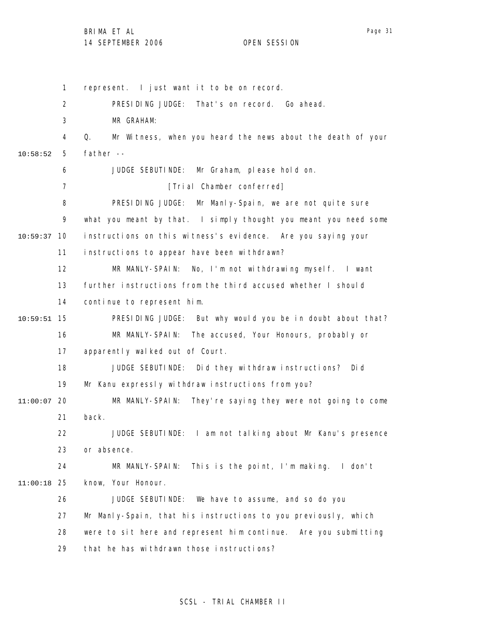1 2 3 4 5 6 7 8 9 10 10:59:37 11 12 13 14 15 10:59:51 16 17 18 19 20 11:00:07 21 22 23 24 25 11:00:18 26 27 28 29 10:58:52 represent. I just want it to be on record. PRESIDING JUDGE: That's on record. Go ahead. MR GRAHAM: Q. Mr Witness, when you heard the news about the death of your father -- JUDGE SEBUTINDE: Mr Graham, please hold on. [Trial Chamber conferred] PRESIDING JUDGE: Mr Manly-Spain, we are not quite sure what you meant by that. I simply thought you meant you need some instructions on this witness's evidence. Are you saying your instructions to appear have been withdrawn? MR MANLY-SPAIN: No, I'm not withdrawing myself. I want further instructions from the third accused whether I should continue to represent him. PRESIDING JUDGE: But why would you be in doubt about that? MR MANLY-SPAIN: The accused, Your Honours, probably or apparently walked out of Court. JUDGE SEBUTINDE: Did they withdraw instructions? Did Mr Kanu expressly withdraw instructions from you? MR MANLY-SPAIN: They're saying they were not going to come back. JUDGE SEBUTINDE: I am not talking about Mr Kanu's presence or absence. MR MANLY-SPAIN: This is the point, I'm making. I don't know, Your Honour. JUDGE SEBUTINDE: We have to assume, and so do you Mr Manly-Spain, that his instructions to you previously, which were to sit here and represent him continue. Are you submitting that he has withdrawn those instructions?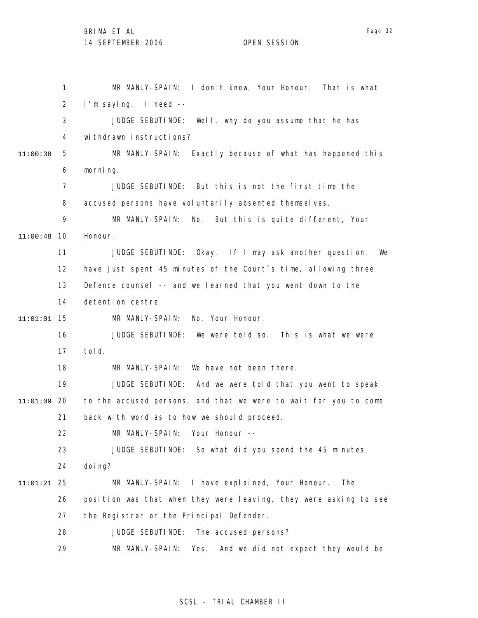1 2 3 4 5 6 7 8 9 10 11:00:48 11 12 13 14 15 11:01:01 16 17 18 19 20 11:01:09 21 22 23 24 25 11:01:21 26 27 28 29 11:00:38 MR MANLY-SPAIN: I don't know, Your Honour. That is what I'm saying. I need -- JUDGE SEBUTINDE: Well, why do you assume that he has withdrawn instructions? MR MANLY-SPAIN: Exactly because of what has happened this morning. JUDGE SEBUTINDE: But this is not the first time the accused persons have voluntarily absented themselves. MR MANLY-SPAIN: No. But this is quite different, Your Honour. JUDGE SEBUTINDE: Okay. If I may ask another question. We have just spent 45 minutes of the Court's time, allowing three Defence counsel -- and we learned that you went down to the detention centre. MR MANLY-SPAIN: No, Your Honour. JUDGE SEBUTINDE: We were told so. This is what we were told. MR MANLY-SPAIN: We have not been there. JUDGE SEBUTINDE: And we were told that you went to speak to the accused persons, and that we were to wait for you to come back with word as to how we should proceed. MR MANLY-SPAIN: Your Honour -- JUDGE SEBUTINDE: So what did you spend the 45 minutes doi ng? MR MANLY-SPAIN: I have explained, Your Honour. The position was that when they were leaving, they were asking to see the Registrar or the Principal Defender. JUDGE SEBUTINDE: The accused persons? MR MANLY-SPAIN: Yes. And we did not expect they would be

## SCSL - TRIAL CHAMBER II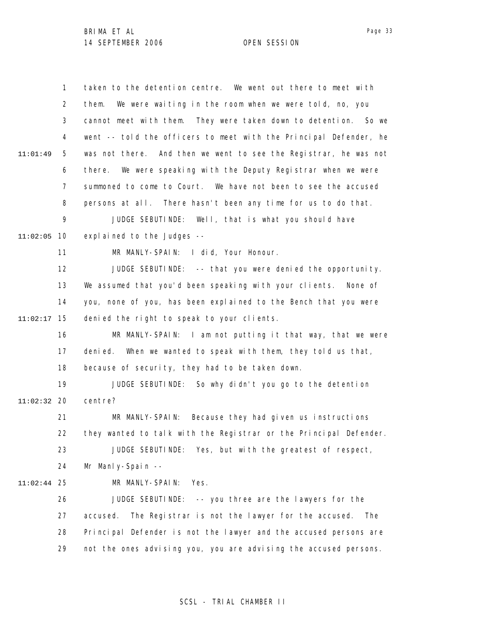1 2 3 4 5 6 7 8 9 10 11:02:05 11 12 13 14 15 11:02:17 16 17 18 19 20 11:02:32 21 22 23 24 25 11:02:44 26 27 28 29 11:01:49 taken to the detention centre. We went out there to meet with them. We were waiting in the room when we were told, no, you cannot meet with them. They were taken down to detention. So we went -- told the officers to meet with the Principal Defender, he was not there. And then we went to see the Registrar, he was not there. We were speaking with the Deputy Registrar when we were summoned to come to Court. We have not been to see the accused persons at all. There hasn't been any time for us to do that. JUDGE SEBUTINDE: Well, that is what you should have explained to the Judges -- MR MANLY-SPAIN: I did, Your Honour. JUDGE SEBUTINDE: -- that you were denied the opportunity. We assumed that you'd been speaking with your clients. None of you, none of you, has been explained to the Bench that you were denied the right to speak to your clients. MR MANLY-SPAIN: I am not putting it that way, that we were denied. When we wanted to speak with them, they told us that, because of security, they had to be taken down. JUDGE SEBUTINDE: So why didn't you go to the detention centre? MR MANLY-SPAIN: Because they had given us instructions they wanted to talk with the Registrar or the Principal Defender. JUDGE SEBUTINDE: Yes, but with the greatest of respect, Mr Manly-Spain -- MR MANLY-SPAIN: Yes. JUDGE SEBUTINDE: -- you three are the lawyers for the accused. The Registrar is not the lawyer for the accused. The Principal Defender is not the lawyer and the accused persons are not the ones advising you, you are advising the accused persons.

Page 33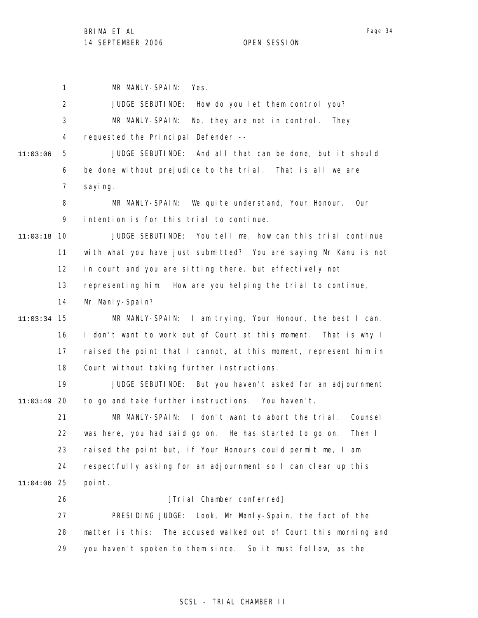1 MR MANLY-SPAIN: Yes.

|          | $\overline{2}$ | JUDGE SEBUTINDE: How do you let them control you?                   |
|----------|----------------|---------------------------------------------------------------------|
|          | 3              | MR MANLY-SPAIN:<br>No, they are not in control. They                |
|          | 4              | requested the Principal Defender --                                 |
| 11:03:06 | 5              | JUDGE SEBUTINDE: And all that can be done, but it should            |
|          | 6              | be done without prejudice to the trial. That is all we are          |
|          | $\overline{7}$ | sayi ng.                                                            |
|          | 8              | MR MANLY-SPAIN:<br>We quite understand, Your Honour. Our            |
|          | 9              | intention is for this trial to continue.                            |
| 11:03:18 | -10            | JUDGE SEBUTINDE: You tell me, how can this trial continue           |
|          | 11             | with what you have just submitted? You are saying Mr Kanu is not    |
|          | 12             | in court and you are sitting there, but effectively not             |
|          | 13             | representing him. How are you helping the trial to continue,        |
|          | 14             | Mr Manly-Spain?                                                     |
| 11:03:34 | 15             | MR MANLY-SPAIN: I am trying, Your Honour, the best I can.           |
|          | 16             | I don't want to work out of Court at this moment. That is why I     |
|          | 17             | raised the point that I cannot, at this moment, represent him in    |
|          | 18             | Court without taking further instructions.                          |
|          | 19             | JUDGE SEBUTINDE: But you haven't asked for an adjournment           |
| 11:03:49 | -20            | to go and take further instructions. You haven't.                   |
|          | 21             | MR MANLY-SPAIN: I don't want to abort the trial. Counsel            |
|          | 22             | was here, you had said go on. He has started to go on.<br>Then I    |
|          | 23             | raised the point but, if Your Honours could permit me, I am         |
|          | 24             | respectfully asking for an adjournment so I can clear up this       |
| 11:04:06 | -25            | point.                                                              |
|          | 26             | [Trial Chamber conferred]                                           |
|          | 27             | PRESIDING JUDGE: Look, Mr Manly-Spain, the fact of the              |
|          | 28             | The accused walked out of Court this morning and<br>matter is this: |
|          | 29             | you haven't spoken to them since. So it must follow, as the         |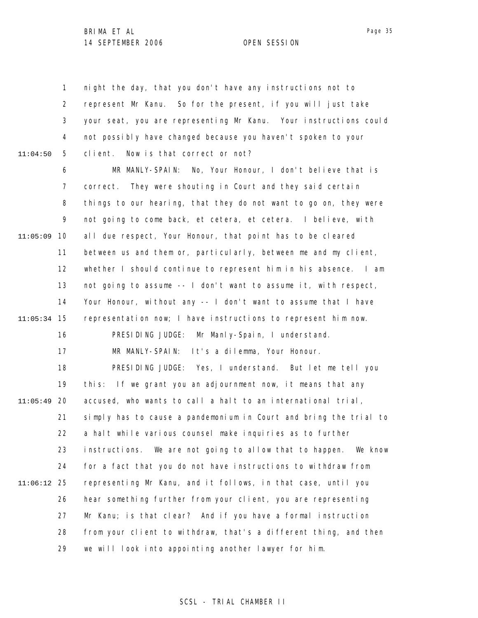1 2 3 4 5 6 7 8 9 10 11:05:09 11 12 13 14 15 11:05:34 16 17 18 19 20 11:05:49 21 22 23 24 25 11:06:12 26 27 28 29 11:04:50 night the day, that you don't have any instructions not to represent Mr Kanu. So for the present, if you will just take your seat, you are representing Mr Kanu. Your instructions could not possibly have changed because you haven't spoken to your client. Now is that correct or not? MR MANLY-SPAIN: No, Your Honour, I don't believe that is correct. They were shouting in Court and they said certain things to our hearing, that they do not want to go on, they were not going to come back, et cetera, et cetera. I believe, with all due respect, Your Honour, that point has to be cleared between us and them or, particularly, between me and my client, whether I should continue to represent him in his absence. I am not going to assume -- I don't want to assume it, with respect, Your Honour, without any -- I don't want to assume that I have representation now; I have instructions to represent him now. PRESIDING JUDGE: Mr Manly-Spain, I understand. MR MANLY-SPAIN: It's a dilemma, Your Honour. PRESIDING JUDGE: Yes, I understand. But let me tell you this: If we grant you an adjournment now, it means that any accused, who wants to call a halt to an international trial, simply has to cause a pandemonium in Court and bring the trial to a halt while various counsel make inquiries as to further instructions. We are not going to allow that to happen. We know for a fact that you do not have instructions to withdraw from representing Mr Kanu, and it follows, in that case, until you hear something further from your client, you are representing Mr Kanu; is that clear? And if you have a formal instruction from your client to withdraw, that's a different thing, and then we will look into appointing another lawyer for him.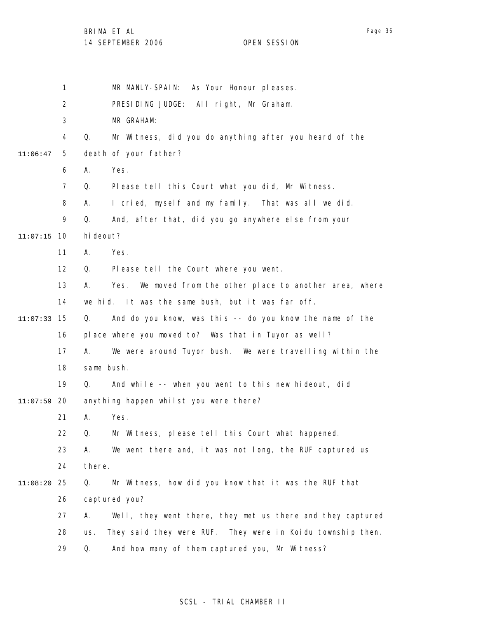|          | 1              | MR MANLY-SPAIN: As Your Honour pleases.                            |
|----------|----------------|--------------------------------------------------------------------|
|          | 2              | PRESIDING JUDGE: All right, Mr Graham.                             |
|          | 3              | MR GRAHAM:                                                         |
|          | 4              | Q.<br>Mr Witness, did you do anything after you heard of the       |
| 11:06:47 | 5              | death of your father?                                              |
|          | 6              | Yes.<br>А.                                                         |
|          | $\overline{7}$ | Please tell this Court what you did, Mr Witness.<br>Q.             |
|          | 8              | I cried, myself and my family. That was all we did.<br>А.          |
|          | 9              | Q.<br>And, after that, did you go anywhere else from your          |
| 11:07:15 | -10            | hi deout?                                                          |
|          | 11             | Yes.<br>А.                                                         |
|          | 12             | Please tell the Court where you went.<br>Q.                        |
|          | 13             | We moved from the other place to another area, where<br>А.<br>Yes. |
|          | 14             | we hid. It was the same bush, but it was far off.                  |
| 11:07:33 | 15             | And do you know, was this -- do you know the name of the<br>Q.     |
|          | 16             | place where you moved to? Was that in Tuyor as well?               |
|          | 17             | We were around Tuyor bush. We were travelling within the<br>А.     |
|          | 18             | same bush.                                                         |
|          | 19             | And while -- when you went to this new hideout, did<br>Q.          |
| 11:07:59 | 20             | anything happen whilst you were there?                             |
|          | 21             | Yes.<br>А.                                                         |
|          | 22             | Mr Witness, please tell this Court what happened.<br>Q.            |
|          | 23             | We went there and, it was not long, the RUF captured us<br>А.      |
|          | 24             | there.                                                             |
| 11:08:20 | 25             | Mr Witness, how did you know that it was the RUF that<br>Q.        |
|          | 26             | captured you?                                                      |
|          | 27             | Well, they went there, they met us there and they captured<br>Α.   |
|          | 28             | They said they were RUF. They were in Koidu township then.<br>us.  |
|          | 29             | And how many of them captured you, Mr Witness?<br>Q.               |
|          |                |                                                                    |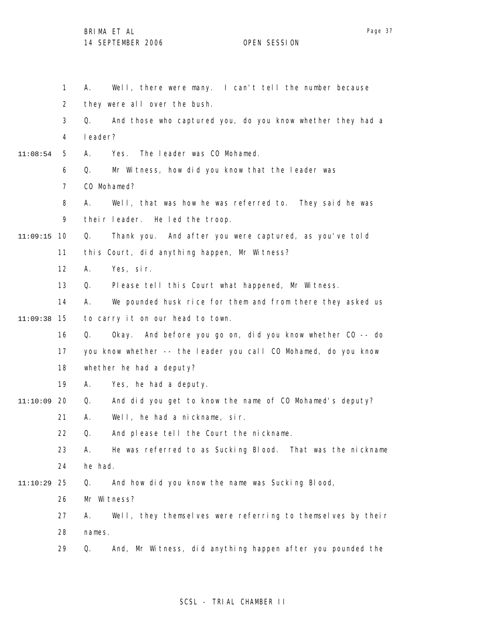1 2 3 4 5 6 7 8 9 10 11:09:15 11 12 13 14 15 11:09:38 16 17 18 19 20 11:10:09 21 22 23 24 25 11:10:29 26 27 28 29 11:08:54 A. Well, there were many. I can't tell the number because they were all over the bush. Q. And those who captured you, do you know whether they had a leader? A. Yes. The leader was CO Mohamed. Q. Mr Witness, how did you know that the leader was C<sub>O</sub> Mohamed? A. Well, that was how he was referred to. They said he was their leader. He led the troop. Q. Thank you. And after you were captured, as you've told this Court, did anything happen, Mr Witness? A. Yes, sir. Q. Please tell this Court what happened, Mr Witness. A. We pounded husk rice for them and from there they asked us to carry it on our head to town. Q. Okay. And before you go on, did you know whether CO -- do you know whether -- the leader you call CO Mohamed, do you know whether he had a deputy? A. Yes, he had a deputy. Q. And did you get to know the name of CO Mohamed's deputy? A. Well, he had a nickname, sir. Q. And please tell the Court the nickname. A. He was referred to as Sucking Blood. That was the nickname he had. Q. And how did you know the name was Sucking Blood, Mr Witness? A. Well, they themselves were referring to themselves by their names. Q. And, Mr Witness, did anything happen after you pounded the

SCSL - TRIAL CHAMBER II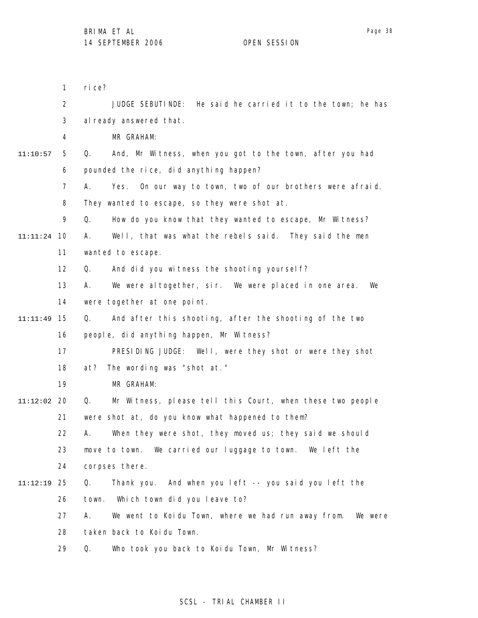1 2 3 4 5 6 7 8 9 10 11:11:24 11 12 13 14 15 11:11:49 16 17 18 19 20 11:12:02 21 22 23 24 25 11:12:19 26 27 28 29 11:10:57 rice? JUDGE SEBUTINDE: He said he carried it to the town; he has al ready answered that. MR GRAHAM: Q. And, Mr Witness, when you got to the town, after you had pounded the rice, did anything happen? A. Yes. On our way to town, two of our brothers were afraid. They wanted to escape, so they were shot at. Q. How do you know that they wanted to escape, Mr Witness? A. Well, that was what the rebels said. They said the men wanted to escape. Q. And did you witness the shooting yourself? A. We were altogether, sir. We were placed in one area. We were together at one point. Q. And after this shooting, after the shooting of the two people, did anything happen, Mr Witness? PRESIDING JUDGE: Well, were they shot or were they shot at? The wording was "shot at." MR GRAHAM: Q. Mr Witness, please tell this Court, when these two people were shot at, do you know what happened to them? A. When they were shot, they moved us; they said we should move to town. We carried our luggage to town. We left the corpses there. Q. Thank you. And when you left -- you said you left the town. Which town did you leave to? A. We went to Koidu Town, where we had run away from. We were taken back to Koidu Town. Q. Who took you back to Koidu Town, Mr Witness?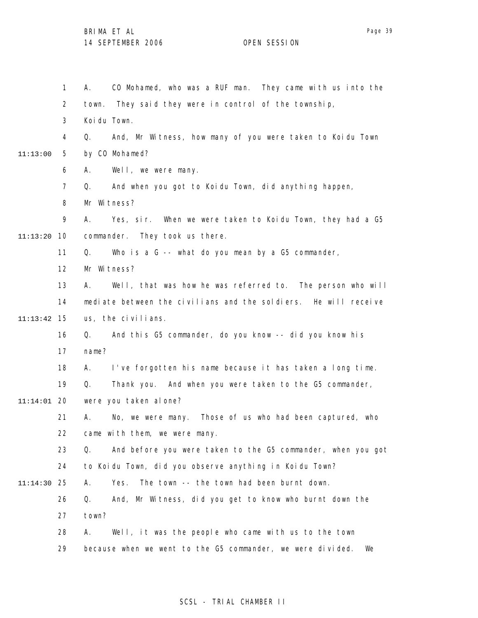1 2 3 4 5 6 7 8 9 10 11:13:20 11 12 13 14 15 11:13:42 16 17 18 19 20 11:14:01 21 22 23 24 25 11:14:30 26 27 28 29 11:13:00 A. CO Mohamed, who was a RUF man. They came with us into the town. They said they were in control of the township, Koidu Town. Q. And, Mr Witness, how many of you were taken to Koidu Town by CO Mohamed? A. Well, we were many. Q. And when you got to Koidu Town, did anything happen, Mr Witness? A. Yes, sir. When we were taken to Koidu Town, they had a G5 commander. They took us there. Q. Who is a G -- what do you mean by a G5 commander, Mr Witness? A. Well, that was how he was referred to. The person who will mediate between the civilians and the soldiers. He will receive us, the civilians. Q. And this G5 commander, do you know -- did you know his name? A. I've forgotten his name because it has taken a long time. Q. Thank you. And when you were taken to the G5 commander, were you taken alone? A. No, we were many. Those of us who had been captured, who came with them, we were many. Q. And before you were taken to the G5 commander, when you got to Koidu Town, did you observe anything in Koidu Town? A. Yes. The town -- the town had been burnt down. Q. And, Mr Witness, did you get to know who burnt down the town? A. Well, it was the people who came with us to the town because when we went to the G5 commander, we were divided. We

# SCSL - TRIAL CHAMBER II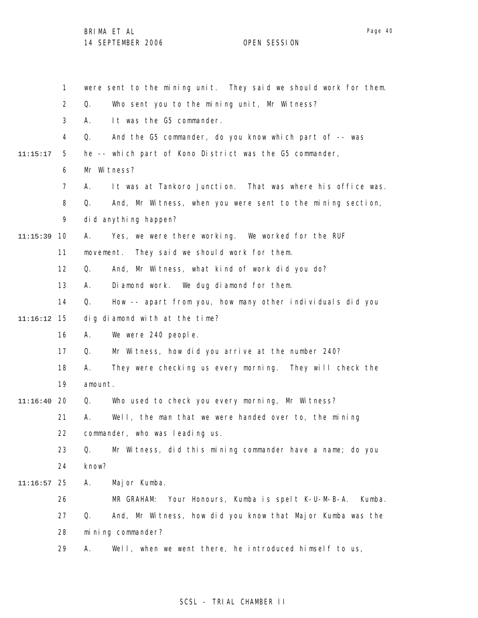1 2 3 4 5 6 7 8 9 10 11:15:39 11 12 13 14 15 11:16:12 16 17 18 19 20 11:16:40 21 22 23 24 25 11:16:57 26 27 28 29 11:15:17 were sent to the mining unit. They said we should work for them. Q. Who sent you to the mining unit, Mr Witness? A. It was the G5 commander. Q. And the G5 commander, do you know which part of -- was he -- which part of Kono District was the G5 commander, Mr Witness? A. It was at Tankoro Junction. That was where his office was. Q. And, Mr Witness, when you were sent to the mining section, did anything happen? A. Yes, we were there working. We worked for the RUF movement. They said we should work for them. Q. And, Mr Witness, what kind of work did you do? A. Diamond work. We dug diamond for them. Q. How -- apart from you, how many other individuals did you dig diamond with at the time? A. We were 240 people. Q. Mr Witness, how did you arrive at the number 240? A. They were checking us every morning. They will check the amount. Q. Who used to check you every morning, Mr Witness? A. Well, the man that we were handed over to, the mining commander, who was leading us. Q. Mr Witness, did this mining commander have a name; do you know? A. Major Kumba. MR GRAHAM: Your Honours, Kumba is spelt K-U-M-B-A. Kumba. Q. And, Mr Witness, how did you know that Major Kumba was the mining commander? A. Well, when we went there, he introduced himself to us,

# SCSL - TRIAL CHAMBER II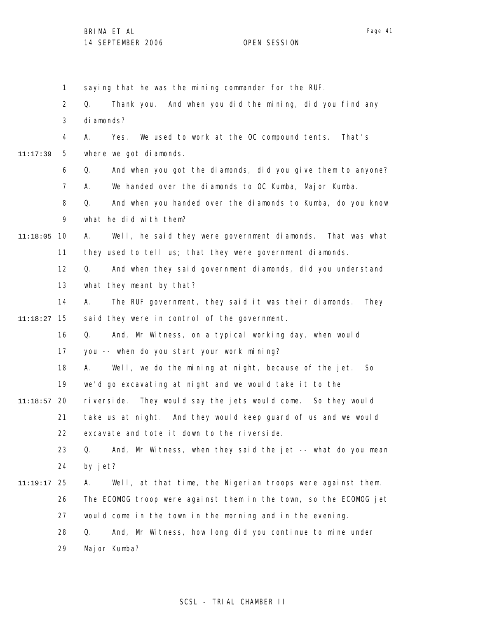Page 41

1 2 3 4 5 6 7 8 9 10 11:18:05 11 12 13 14 15 11:18:27 16 17 18 19 20 11:18:57 21 22 23 24 25 11:19:17 26 27 28 29 11:17:39 saying that he was the mining commander for the RUF. Q. Thank you. And when you did the mining, did you find any di amonds? A. Yes. We used to work at the OC compound tents. That's where we got diamonds. Q. And when you got the diamonds, did you give them to anyone? A. We handed over the diamonds to OC Kumba, Major Kumba. Q. And when you handed over the diamonds to Kumba, do you know what he did with them? A. Well, he said they were government diamonds. That was what they used to tell us; that they were government diamonds. Q. And when they said government diamonds, did you understand what they meant by that? A. The RUF government, they said it was their diamonds. They said they were in control of the government. Q. And, Mr Witness, on a typical working day, when would you -- when do you start your work mining? A. Well, we do the mining at night, because of the jet. So we'd go excavating at night and we would take it to the riverside. They would say the jets would come. So they would take us at night. And they would keep guard of us and we would excavate and tote it down to the riverside. Q. And, Mr Witness, when they said the jet -- what do you mean by jet? A. Well, at that time, the Nigerian troops were against them. The ECOMOG troop were against them in the town, so the ECOMOG jet would come in the town in the morning and in the evening. Q. And, Mr Witness, how long did you continue to mine under Major Kumba?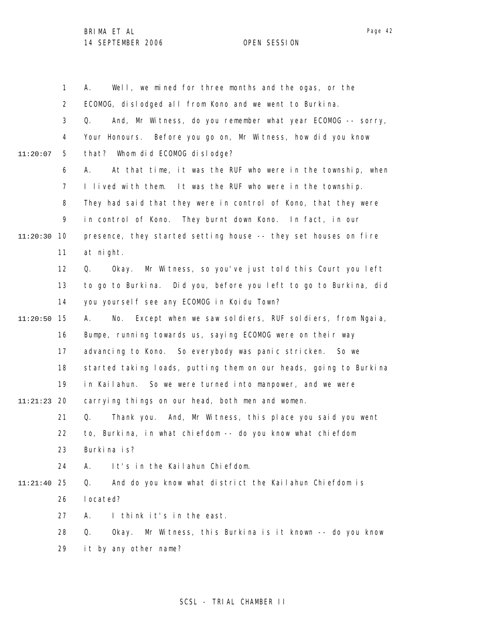1 2 3 4 5 6 7 8 9 10 11:20:30 11 12 13 14 15 11:20:50 16 17 18 19 20 11:21:23 21 22 23 24 25 11:21:40 26 27 28 29 11:20:07 A. Well, we mined for three months and the ogas, or the ECOMOG, dislodged all from Kono and we went to Burkina. Q. And, Mr Witness, do you remember what year ECOMOG -- sorry, Your Honours. Before you go on, Mr Witness, how did you know that? Whom did ECOMOG dislodge? A. At that time, it was the RUF who were in the township, when I lived with them. It was the RUF who were in the township. They had said that they were in control of Kono, that they were in control of Kono. They burnt down Kono. In fact, in our presence, they started setting house -- they set houses on fire at night. Q. Okay. Mr Witness, so you've just told this Court you left to go to Burkina. Did you, before you left to go to Burkina, did you yourself see any ECOMOG in Koidu Town? A. No. Except when we saw soldiers, RUF soldiers, from Ngaia, Bumpe, running towards us, saying ECOMOG were on their way advancing to Kono. So everybody was panic stricken. So we started taking loads, putting them on our heads, going to Burkina in Kailahun. So we were turned into manpower, and we were carrying things on our head, both men and women. Q. Thank you. And, Mr Witness, this place you said you went to, Burkina, in what chiefdom -- do you know what chiefdom Burkina is? A. It's in the Kailahun Chiefdom. Q. And do you know what district the Kailahun Chiefdom is located? A. I think it's in the east. Q. Okay. Mr Witness, this Burkina is it known -- do you know it by any other name?

# SCSL - TRIAL CHAMBER II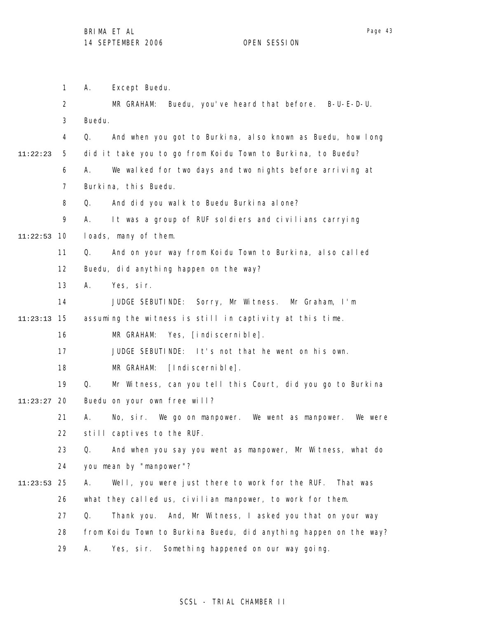1 2 3 4 5 6 7 8 9 10 11:22:53 11 12 13 14 15 11:23:13 16 17 18 19 20 11:23:27 21 22 23 24 25 11:23:53 26 27 28 29 11:22:23 A. Except Buedu. MR GRAHAM: Buedu, you've heard that before. B-U-E-D-U. Buedu. Q. And when you got to Burkina, also known as Buedu, how long did it take you to go from Koidu Town to Burkina, to Buedu? A. We walked for two days and two nights before arriving at Burkina, this Buedu. Q. And did you walk to Buedu Burkina alone? A. It was a group of RUF soldiers and civilians carrying loads, many of them. Q. And on your way from Koidu Town to Burkina, also called Buedu, did anything happen on the way? A. Yes, sir. JUDGE SEBUTINDE: Sorry, Mr Witness. Mr Graham, I'm assuming the witness is still in captivity at this time. MR GRAHAM: Yes, [indiscernible]. JUDGE SEBUTINDE: It's not that he went on his own. MR GRAHAM: [Indiscernible]. Q. Mr Witness, can you tell this Court, did you go to Burkina Buedu on your own free will? A. No, sir. We go on manpower. We went as manpower. We were still captives to the RUF. Q. And when you say you went as manpower, Mr Witness, what do you mean by "manpower"? A. Well, you were just there to work for the RUF. That was what they called us, civilian manpower, to work for them. Q. Thank you. And, Mr Witness, I asked you that on your way from Koidu Town to Burkina Buedu, did anything happen on the way? A. Yes, sir. Something happened on our way going.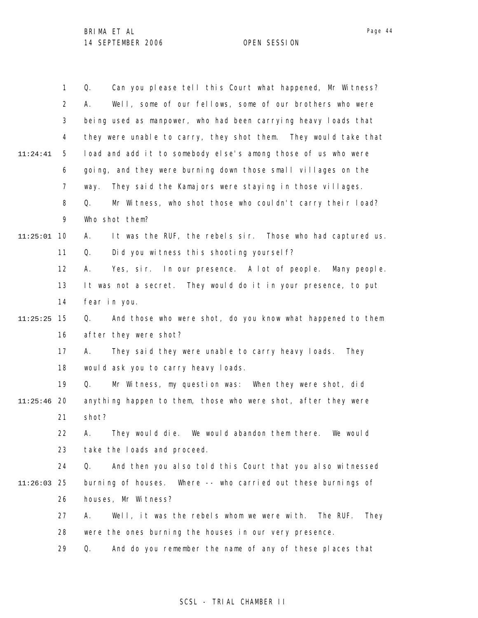|          | 1              | Can you please tell this Court what happened, Mr Witness?<br>Q.      |
|----------|----------------|----------------------------------------------------------------------|
|          | $\overline{2}$ | Well, some of our fellows, some of our brothers who were<br>А.       |
|          | 3              | being used as manpower, who had been carrying heavy loads that       |
|          | 4              | they were unable to carry, they shot them. They would take that      |
| 11:24:41 | 5              | load and add it to somebody else's among those of us who were        |
|          | 6              | going, and they were burning down those small villages on the        |
|          | $\overline{7}$ | They said the Kamajors were staying in those villages.<br>way.       |
|          | 8              | Mr Witness, who shot those who couldn't carry their load?<br>Q.      |
|          | 9              | Who shot them?                                                       |
| 11:25:01 | 10             | It was the RUF, the rebels sir. Those who had captured us.<br>А.     |
|          | 11             | Did you witness this shooting yourself?<br>Q.                        |
|          | 12             | Yes, sir. In our presence. A lot of people. Many people.<br>А.       |
|          | 13             | It was not a secret. They would do it in your presence, to put       |
|          | 14             | fear in you.                                                         |
| 11:25:25 | 15             | And those who were shot, do you know what happened to them<br>Q.     |
|          | 16             | after they were shot?                                                |
|          | 17             | They said they were unable to carry heavy loads.<br>А.<br>They       |
|          | 18             | would ask you to carry heavy loads.                                  |
|          | 19             | Mr Witness, my question was: When they were shot, did<br>Q.          |
| 11:25:46 | -20            | anything happen to them, those who were shot, after they were        |
|          | 21             | shot?                                                                |
|          | 22             | They would die. We would abandon them there. We would<br>Α.          |
|          | 23             | take the loads and proceed.                                          |
|          | 24             | Q.<br>And then you also told this Court that you also witnessed      |
| 11:26:03 | -25            | burning of houses. Where -- who carried out these burnings of        |
|          | 26             | houses, Mr Witness?                                                  |
|          | 27             | Well, it was the rebels whom we were with.<br>The RUF.<br>А.<br>They |
|          | 28             | were the ones burning the houses in our very presence.               |
|          | 29             | And do you remember the name of any of these places that<br>Q.       |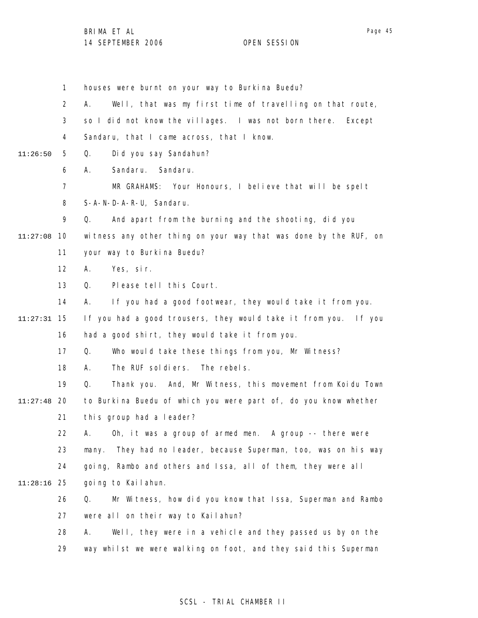Page 45

1 2 3 4 5 6 7 8 9 11:27:08 10 11 12 13 14 15 11:27:31 16 17 18 19 20 11:27:48 21 22 23 24 25 11:28:16 26 27 28 29 11:26:50 houses were burnt on your way to Burkina Buedu? A. Well, that was my first time of travelling on that route, so I did not know the villages. I was not born there. Except Sandaru, that I came across, that I know. Q. Did you say Sandahun? A. Sandaru. Sandaru. MR GRAHAMS: Your Honours, I believe that will be spelt S-A-N-D-A-R-U, Sandaru. Q. And apart from the burning and the shooting, did you witness any other thing on your way that was done by the RUF, on your way to Burkina Buedu? A. Yes, sir. Q. Please tell this Court. A. If you had a good footwear, they would take it from you. If you had a good trousers, they would take it from you. If you had a good shirt, they would take it from you. Q. Who would take these things from you, Mr Witness? A. The RUF soldiers. The rebels. Q. Thank you. And, Mr Witness, this movement from Koidu Town to Burkina Buedu of which you were part of, do you know whether this group had a leader? A. Oh, it was a group of armed men. A group -- there were many. They had no leader, because Superman, too, was on his way going, Rambo and others and Issa, all of them, they were all going to Kailahun. Q. Mr Witness, how did you know that Issa, Superman and Rambo were all on their way to Kailahun? A. Well, they were in a vehicle and they passed us by on the way whilst we were walking on foot, and they said this Superman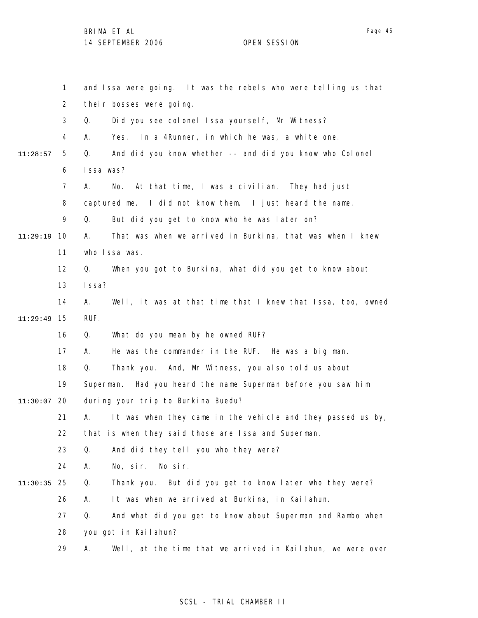1 2 3 4 5 6 7 8 9 10 11:29:19 11 12 13 14 15 11:29:49 16 17 18 19 20 11:30:07 21 22 23 24 25 11:30:35 26 27 28 29 11:28:57 and Issa were going. It was the rebels who were telling us that their bosses were going. Q. Did you see colonel Issa yourself, Mr Witness? A. Yes. In a 4Runner, in which he was, a white one. Q. And did you know whether -- and did you know who Colonel Issa was? A. No. At that time, I was a civilian. They had just captured me. I did not know them. I just heard the name. Q. But did you get to know who he was later on? A. That was when we arrived in Burkina, that was when I knew who Issa was. Q. When you got to Burkina, what did you get to know about Issa? A. Well, it was at that time that I knew that Issa, too, owned RUF. Q. What do you mean by he owned RUF? A. He was the commander in the RUF. He was a big man. Q. Thank you. And, Mr Witness, you also told us about Superman. Had you heard the name Superman before you saw him during your trip to Burkina Buedu? A. It was when they came in the vehicle and they passed us by, that is when they said those are Issa and Superman. Q. And did they tell you who they were? A. No, sir. No sir. Q. Thank you. But did you get to know later who they were? A. It was when we arrived at Burkina, in Kailahun. Q. And what did you get to know about Superman and Rambo when you got in Kailahun? A. Well, at the time that we arrived in Kailahun, we were over

# SCSL - TRIAL CHAMBER II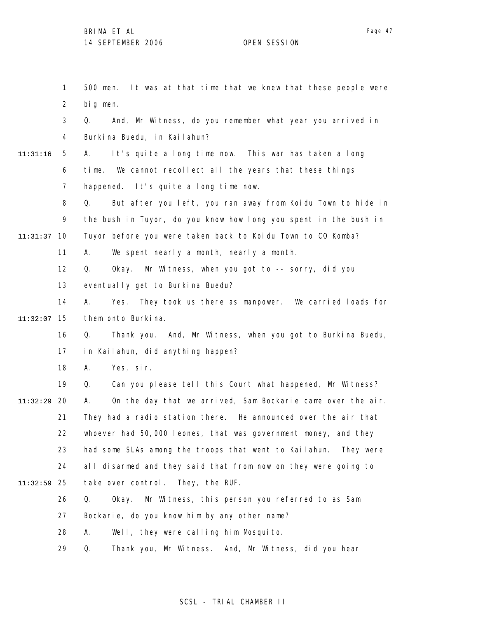1 2 3 4 5 6 7 8 9 10 11:31:37 11 12 13 14 15 11:32:07 16 17 18 19 20 11:32:29 21 22 23 24 25 11:32:59 26 27 28 29 11:31:16 500 men. It was at that time that we knew that these people were big men. Q. And, Mr Witness, do you remember what year you arrived in Burkina Buedu, in Kailahun? A. It's quite a long time now. This war has taken a long time. We cannot recollect all the years that these things happened. It's quite a long time now. Q. But after you left, you ran away from Koidu Town to hide in the bush in Tuyor, do you know how long you spent in the bush in Tuyor before you were taken back to Koidu Town to CO Komba? A. We spent nearly a month, nearly a month. Q. Okay. Mr Witness, when you got to -- sorry, did you eventually get to Burkina Buedu? A. Yes. They took us there as manpower. We carried loads for them onto Burkina. Q. Thank you. And, Mr Witness, when you got to Burkina Buedu, in Kailahun, did anything happen? A. Yes, sir. Q. Can you please tell this Court what happened, Mr Witness? A. On the day that we arrived, Sam Bockarie came over the air. They had a radio station there. He announced over the air that whoever had 50,000 leones, that was government money, and they had some SLAs among the troops that went to Kailahun. They were all disarmed and they said that from now on they were going to take over control. They, the RUF. Q. Okay. Mr Witness, this person you referred to as Sam Bockarie, do you know him by any other name? A. Well, they were calling him Mosquito. Q. Thank you, Mr Witness. And, Mr Witness, did you hear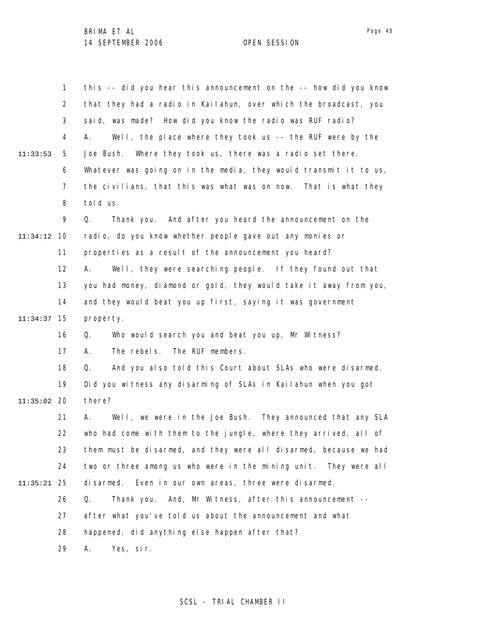|               | $\mathbf{1}$   | this -- did you hear this announcement on the -- how did you know |
|---------------|----------------|-------------------------------------------------------------------|
|               | $\overline{2}$ | that they had a radio in Kailahun, over which the broadcast, you  |
|               | 3              | said, was made? How did you know the radio was RUF radio?         |
|               | 4              | Well, the place where they took us -- the RUF were by the<br>А.   |
| 11:33:53      | 5              | Where they took us, there was a radio set there.<br>Joe Bush.     |
|               | 6              | Whatever was going on in the media, they would transmit it to us, |
|               | $\overline{7}$ | the civilians, that this was what was on now. That is what they   |
|               | 8              | told us.                                                          |
|               | 9              | Q.<br>Thank you. And after you heard the announcement on the      |
| 11:34:12      | 10             | radio, do you know whether people gave out any monies or          |
|               | 11             | properties as a result of the announcement you heard?             |
|               | 12             | Well, they were searching people. If they found out that<br>А.    |
|               | 13             | you had money, diamond or gold, they would take it away from you, |
|               | 14             | and they would beat you up first, saying it was government        |
| 11:34:37      | 15             | property.                                                         |
|               | 16             | Who would search you and beat you up, Mr Witness?<br>Q.           |
|               | 17             | The RUF members.<br>The rebels.<br>А.                             |
|               | 18             | And you also told this Court about SLAs who were disarmed.<br>Q.  |
|               | 19             | Did you witness any disarming of SLAs in Kailahun when you got    |
| $11:35:02$ 20 |                | there?                                                            |
|               | 21             | Well, we were in the Joe Bush. They announced that any SLA<br>Α.  |
|               | 22             | who had come with them to the jungle, where they arrived, all of  |
|               | 23             | them must be disarmed, and they were all disarmed, because we had |
|               | 24             | two or three among us who were in the mining unit. They were all  |
| 11:35:21      | 25             | Even in our own areas, three were disarmed.<br>disarmed.          |
|               | 26             | Thank you. And, Mr Witness, after this announcement --<br>Q.      |
|               | 27             | after what you've told us about the announcement and what         |
|               | 28             | happened, did anything else happen after that?                    |
|               | 29             | Yes, sir.<br>Α.                                                   |

# SCSL - TRIAL CHAMBER II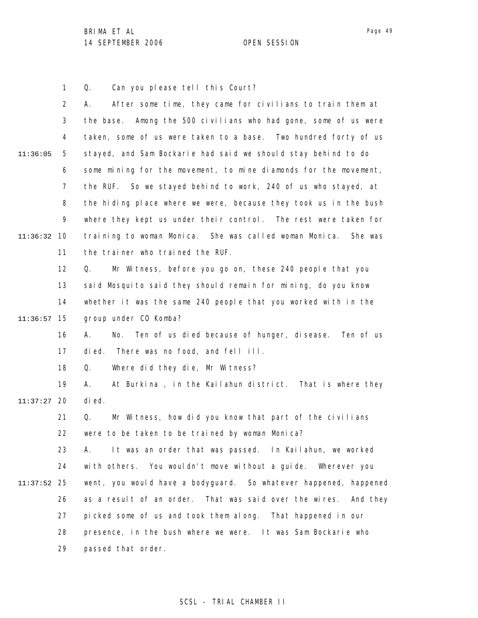Page 49

1 Q. Can you please tell this Court?

2 3 4 5 6 7 8 9 10 11:36:32 11 12 13 14 15 11:36:57 16 17 18 19 20 11:37:27 21 22 23 24 25 11:37:52 26 27 28 29 11:36:05 A. After some time, they came for civilians to train them at the base. Among the 500 civilians who had gone, some of us were taken, some of us were taken to a base. Two hundred forty of us stayed, and Sam Bockarie had said we should stay behind to do some mining for the movement, to mine diamonds for the movement, the RUF. So we stayed behind to work, 240 of us who stayed, at the hiding place where we were, because they took us in the bush where they kept us under their control. The rest were taken for training to woman Monica. She was called woman Monica. She was the trainer who trained the RUF. Q. Mr Witness, before you go on, these 240 people that you said Mosquito said they should remain for mining, do you know whether it was the same 240 people that you worked with in the group under CO Komba? A. No. Ten of us died because of hunger, disease. Ten of us died. There was no food, and fell ill. Q. Where did they die, Mr Witness? A. At Burkina , in the Kailahun district. That is where they died. Q. Mr Witness, how did you know that part of the civilians were to be taken to be trained by woman Monica? A. It was an order that was passed. In Kailahun, we worked with others. You wouldn't move without a guide. Wherever you went, you would have a bodyguard. So whatever happened, happened as a result of an order. That was said over the wires. And they picked some of us and took them along. That happened in our presence, in the bush where we were. It was Sam Bockarie who passed that order.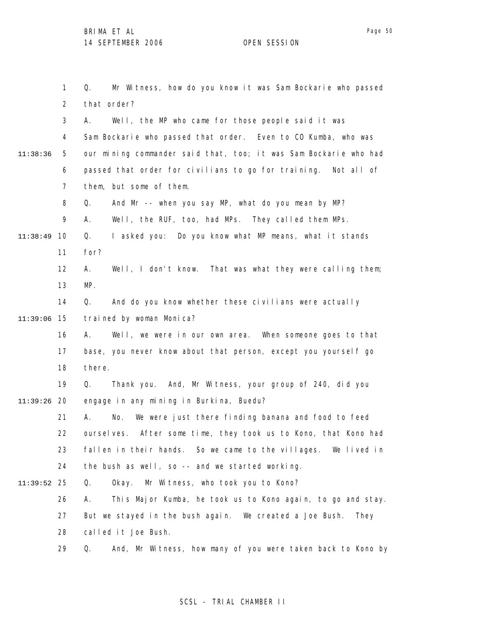1 2 3 4 5 6 7 8 9 10 11:38:49 11 12 13 14 15 11:39:06 16 17 18 19 20 11:39:26 21 22 23 24 25 11:39:52 26 27 11:38:36 Q. Mr Witness, how do you know it was Sam Bockarie who passed that order? A. Well, the MP who came for those people said it was Sam Bockarie who passed that order. Even to CO Kumba, who was our mining commander said that, too; it was Sam Bockarie who had passed that order for civilians to go for training. Not all of them, but some of them. Q. And Mr -- when you say MP, what do you mean by MP? A. Well, the RUF, too, had MPs. They called them MPs. Q. I asked you: Do you know what MP means, what it stands for? A. Well, I don't know. That was what they were calling them; MP. Q. And do you know whether these civilians were actually trained by woman Monica? A. Well, we were in our own area. When someone goes to that base, you never know about that person, except you yourself go there. Q. Thank you. And, Mr Witness, your group of 240, did you engage in any mining in Burkina, Buedu? A. No. We were just there finding banana and food to feed ourselves. After some time, they took us to Kono, that Kono had fallen in their hands. So we came to the villages. We lived in the bush as well, so -- and we started working. Q. Okay. Mr Witness, who took you to Kono? A. This Major Kumba, he took us to Kono again, to go and stay. But we stayed in the bush again. We created a Joe Bush. They

28 called it Joe Bush.

29 Q. And, Mr Witness, how many of you were taken back to Kono by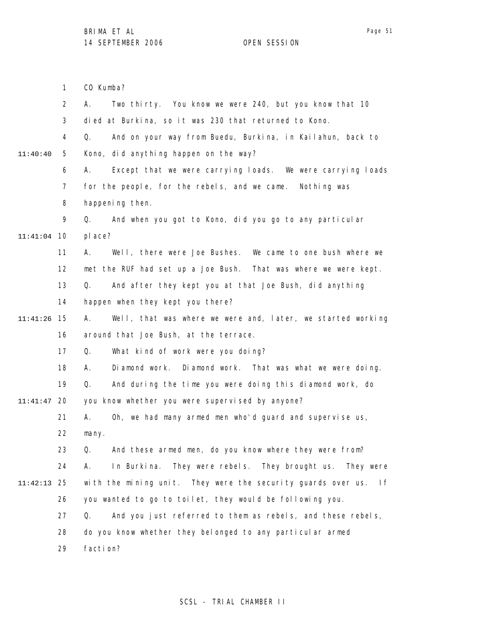Page 51

|          | $\mathbf{1}$   | CO Kumba?                                                           |
|----------|----------------|---------------------------------------------------------------------|
|          | $\overline{2}$ | Two thirty. You know we were 240, but you know that 10<br>А.        |
|          | 3              | died at Burkina, so it was 230 that returned to Kono.               |
|          | 4              | And on your way from Buedu, Burkina, in Kailahun, back to<br>Q.     |
| 11:40:40 | 5              | Kono, did anything happen on the way?                               |
|          | 6              | Except that we were carrying loads. We were carrying loads<br>А.    |
|          | 7              | for the people, for the rebels, and we came. Nothing was            |
|          | 8              | happening then.                                                     |
|          | 9              | And when you got to Kono, did you go to any particular<br>Q.        |
| 11:41:04 | 10             | pl ace?                                                             |
|          | 11             | А.<br>Well, there were Joe Bushes. We came to one bush where we     |
|          | 12             | met the RUF had set up a Joe Bush. That was where we were kept.     |
|          | 13             | And after they kept you at that Joe Bush, did anything<br>Q.        |
|          | 14             | happen when they kept you there?                                    |
| 11:41:26 | 15             | Well, that was where we were and, later, we started working<br>А.   |
|          | 16             | around that Joe Bush, at the terrace.                               |
|          | 17             | What kind of work were you doing?<br>Q.                             |
|          | 18             | Diamond work. Diamond work. That was what we were doing.<br>А.      |
|          | 19             | Q.<br>And during the time you were doing this diamond work, do      |
| 11:41:47 | 20             | you know whether you were supervised by anyone?                     |
|          | 21             | Oh, we had many armed men who'd guard and supervise us,<br>А.       |
|          | 22             | many.                                                               |
|          | 23             | And these armed men, do you know where they were from?<br>Q.        |
|          | 24             | Α.<br>In Burkina. They were rebels. They brought us. They were      |
| 11:42:13 | 25             | with the mining unit. They were the security guards over us.<br>l f |
|          | 26             | you wanted to go to toilet, they would be following you.            |
|          | 27             | And you just referred to them as rebels, and these rebels,<br>Q.    |
|          | 28             | do you know whether they belonged to any particular armed           |
|          | 29             | faction?                                                            |
|          |                |                                                                     |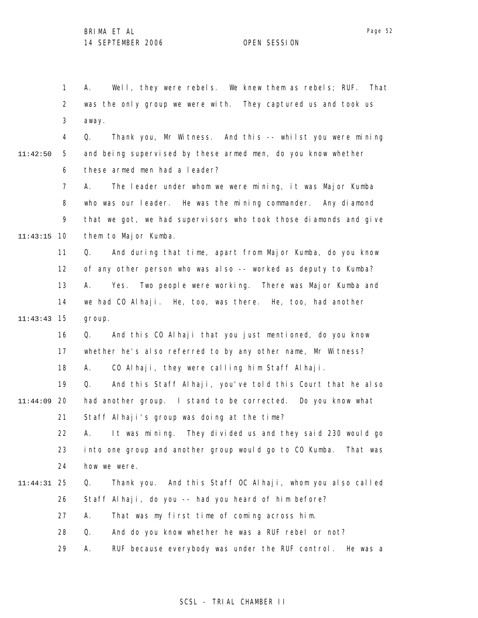1 2 3 A. Well, they were rebels. We knew them as rebels; RUF. That was the only group we were with. They captured us and took us away.

11:42:50

4 5 6 Q. Thank you, Mr Witness. And this -- whilst you were mining and being supervised by these armed men, do you know whether these armed men had a leader?

7 8 9 10 11:43:15 A. The leader under whom we were mining, it was Major Kumba who was our leader. He was the mining commander. Any diamond that we got, we had supervisors who took those diamonds and give them to Major Kumba.

11 12 13 14 15 11:43:43 Q. And during that time, apart from Major Kumba, do you know of any other person who was also -- worked as deputy to Kumba? A. Yes. Two people were working. There was Major Kumba and we had CO Alhaji. He, too, was there. He, too, had another group.

16 17 18 Q. And this CO Alhaji that you just mentioned, do you know whether he's also referred to by any other name, Mr Witness? A. CO Alhaji, they were calling him Staff Alhaji.

19 20 11:44:09 21 Q. And this Staff Alhaji, you've told this Court that he also had another group. I stand to be corrected. Do you know what Staff Alhaji's group was doing at the time?

22 23 24 A. It was mining. They divided us and they said 230 would go into one group and another group would go to CO Kumba. That was how we were.

### 25 11:44:31 26 Q. Thank you. And this Staff OC Alhaji, whom you also called Staff Alhaji, do you -- had you heard of him before?

27 A. That was my first time of coming across him.

28 Q. And do you know whether he was a RUF rebel or not?

29 A. RUF because everybody was under the RUF control. He was a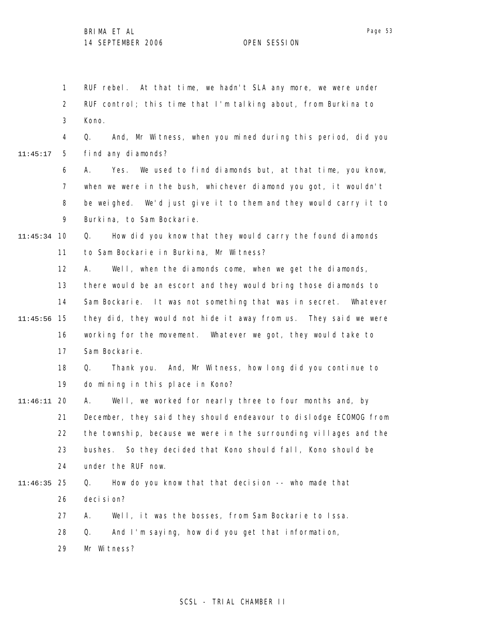1 2 3 4 5 6 7 8 9 10 11:45:34 11 12 13 14 15 11:45:56 16 17 18 19 20 11:46:11 21 22 23 24 25 11:46:35 26 27 28 29 11:45:17 RUF rebel. At that time, we hadn't SLA any more, we were under RUF control; this time that I'm talking about, from Burkina to Kono. Q. And, Mr Witness, when you mined during this period, did you find any diamonds? A. Yes. We used to find diamonds but, at that time, you know, when we were in the bush, whichever diamond you got, it wouldn't be weighed. We'd just give it to them and they would carry it to Burkina, to Sam Bockarie. Q. How did you know that they would carry the found diamonds to Sam Bockarie in Burkina, Mr Witness? A. Well, when the diamonds come, when we get the diamonds, there would be an escort and they would bring those diamonds to Sam Bockarie. It was not something that was in secret. Whatever they did, they would not hide it away from us. They said we were working for the movement. Whatever we got, they would take to Sam Bockarie. Q. Thank you. And, Mr Witness, how long did you continue to do mining in this place in Kono? A. Well, we worked for nearly three to four months and, by December, they said they should endeavour to dislodge ECOMOG from the township, because we were in the surrounding villages and the bushes. So they decided that Kono should fall, Kono should be under the RUF now. Q. How do you know that that decision -- who made that deci si on? A. Well, it was the bosses, from Sam Bockarie to Issa. Q. And I'm saying, how did you get that information, Mr Witness?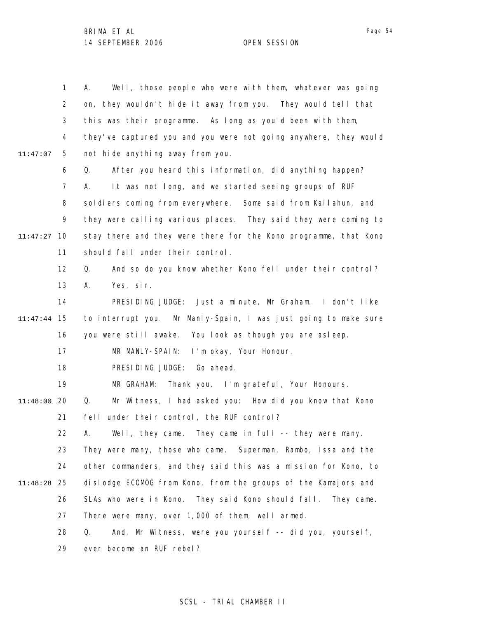1 2 3 4 5 6 7 8 9 10 11:47:27 11 12 13 14 15 11:47:44 16 17 18 19 20 11:48:00 21 22 23 24 25 11:48:28 26 27 28 29 11:47:07 A. Well, those people who were with them, whatever was going on, they wouldn't hide it away from you. They would tell that this was their programme. As long as you'd been with them, they've captured you and you were not going anywhere, they would not hide anything away from you. Q. After you heard this information, did anything happen? A. It was not long, and we started seeing groups of RUF soldiers coming from everywhere. Some said from Kailahun, and they were calling various places. They said they were coming to stay there and they were there for the Kono programme, that Kono should fall under their control. Q. And so do you know whether Kono fell under their control? A. Yes, sir. PRESIDING JUDGE: Just a minute, Mr Graham. I don't like to interrupt you. Mr Manly-Spain, I was just going to make sure you were still awake. You look as though you are asleep. MR MANLY-SPAIN: I'm okay, Your Honour. PRESIDING JUDGE: Go ahead. MR GRAHAM: Thank you. I'm grateful, Your Honours. Q. Mr Witness, I had asked you: How did you know that Kono fell under their control, the RUF control? A. Well, they came. They came in full -- they were many. They were many, those who came. Superman, Rambo, Issa and the other commanders, and they said this was a mission for Kono, to dislodge ECOMOG from Kono, from the groups of the Kamajors and SLAs who were in Kono. They said Kono should fall. They came. There were many, over 1,000 of them, well armed. Q. And, Mr Witness, were you yourself -- did you, yourself, ever become an RUF rebel?

# SCSL - TRIAL CHAMBER II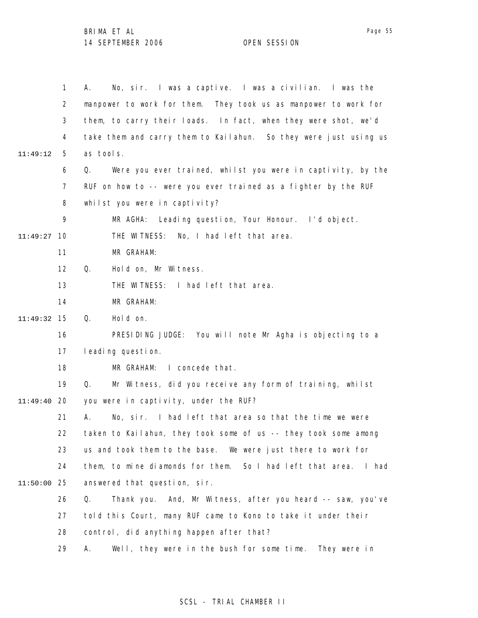|          | $\mathbf{1}$   | No, sir. I was a captive. I was a civilian. I was the<br>А.        |
|----------|----------------|--------------------------------------------------------------------|
|          | $\overline{2}$ | manpower to work for them. They took us as manpower to work for    |
|          | 3              | them, to carry their loads. In fact, when they were shot, we'd     |
|          | 4              | take them and carry them to Kailahun. So they were just using us   |
| 11:49:12 | 5              | as tools.                                                          |
|          | 6              | Were you ever trained, whilst you were in captivity, by the<br>Q.  |
|          | $\overline{7}$ | RUF on how to -- were you ever trained as a fighter by the RUF     |
|          | 8              | whilst you were in captivity?                                      |
|          | 9              | MR AGHA: Leading question, Your Honour. I'd object.                |
| 11:49:27 | 10             | No, I had left that area.<br>THE WITNESS:                          |
|          | 11             | MR GRAHAM:                                                         |
|          | 12             | Hold on, Mr Witness.<br>Q.                                         |
|          | 13             | THE WITNESS: I had left that area.                                 |
|          | 14             | MR GRAHAM:                                                         |
| 11:49:32 | 15             | Hold on.<br>Q.                                                     |
|          | 16             | PRESIDING JUDGE: You will note Mr Agha is objecting to a           |
|          | 17             | I eading question.                                                 |
|          | 18             | I concede that.<br>MR GRAHAM:                                      |
|          | 19             | Mr Witness, did you receive any form of training, whilst<br>Q.     |
| 11:49:40 | 20             | you were in captivity, under the RUF?                              |
|          | 21             | No, sir. I had left that area so that the time we were<br>А.       |
|          | 22             | taken to Kailahun, they took some of us -- they took some among    |
|          | 23             | us and took them to the base. We were just there to work for       |
|          | 24             | them, to mine diamonds for them. So I had left that area.<br>l had |
| 11:50:00 | 25             | answered that question, sir.                                       |
|          | 26             | Thank you. And, Mr Witness, after you heard -- saw, you've<br>Q.   |
|          | 27             | told this Court, many RUF came to Kono to take it under their      |
|          | 28             | control, did anything happen after that?                           |
|          | 29             | Well, they were in the bush for some time. They were in<br>А.      |

# SCSL - TRIAL CHAMBER II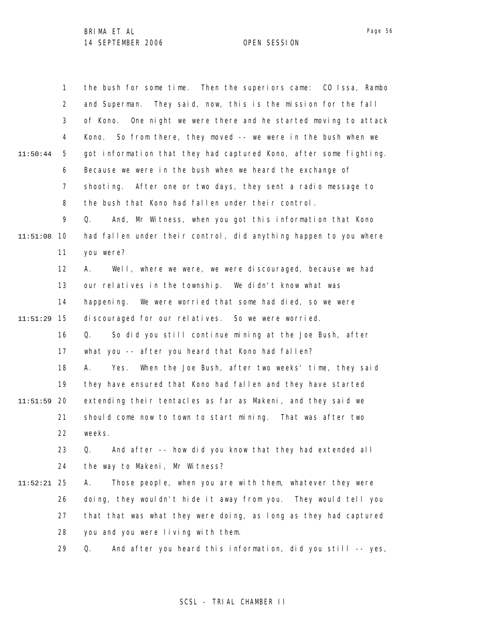|          | $\mathbf{1}$   | the bush for some time. Then the superiors came: CO Issa, Rambo   |
|----------|----------------|-------------------------------------------------------------------|
|          | $\overline{2}$ | and Superman. They said, now, this is the mission for the fall    |
|          | 3              | of Kono. One night we were there and he started moving to attack  |
|          | 4              | So from there, they moved -- we were in the bush when we<br>Kono. |
| 11:50:44 | 5              | got information that they had captured Kono, after some fighting. |
|          | 6              | Because we were in the bush when we heard the exchange of         |
|          | $\overline{7}$ | shooting. After one or two days, they sent a radio message to     |
|          | 8              | the bush that Kono had fallen under their control.                |
|          | 9              | And, Mr Witness, when you got this information that Kono<br>Q.    |
| 11:51:08 | 10             | had fallen under their control, did anything happen to you where  |
|          | 11             | you were?                                                         |
|          | 12             | Well, where we were, we were discouraged, because we had<br>А.    |
|          | 13             | our relatives in the township. We didn't know what was            |
|          | 14             | We were worried that some had died, so we were<br>happening.      |
| 11:51:29 | 15             | discouraged for our relatives. So we were worried.                |
|          | 16             | So did you still continue mining at the Joe Bush, after<br>Q.     |
|          | 17             | what you -- after you heard that Kono had fallen?                 |
|          | 18             | When the Joe Bush, after two weeks' time, they said<br>А.<br>Yes. |
|          | 19             | they have ensured that Kono had fallen and they have started      |
| 11:51:59 | 20             | extending their tentacles as far as Makeni, and they said we      |
|          | 21             | should come now to town to start mining. That was after two       |
|          | 22             | weeks.                                                            |
|          | 23             | And after -- how did you know that they had extended all<br>Q.    |
|          | 24             | the way to Makeni, Mr Witness?                                    |
| 11:52:21 | 25             | Those people, when you are with them, whatever they were<br>Α.    |
|          | 26             | doing, they wouldn't hide it away from you. They would tell you   |
|          | 27             | that that was what they were doing, as long as they had captured  |
|          | 28             | you and you were living with them.                                |
|          | 29             | And after you heard this information, did you still -- yes,<br>Q. |

# SCSL - TRIAL CHAMBER II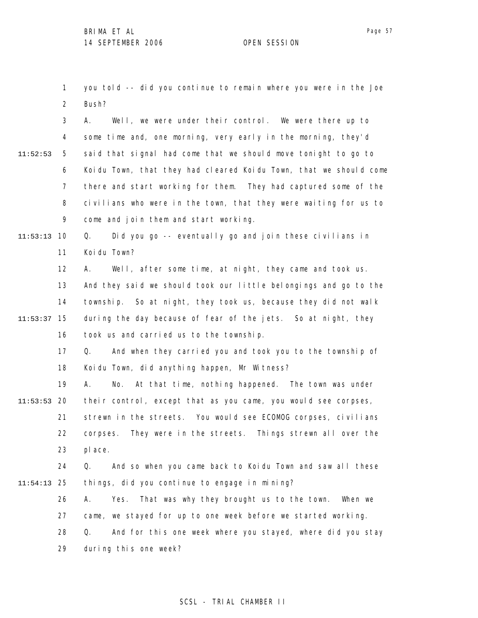1 2 you told -- did you continue to remain where you were in the Joe Bush?

3 4 5 6 7 8 9 11:52:53 A. Well, we were under their control. We were there up to some time and, one morning, very early in the morning, they'd said that signal had come that we should move tonight to go to Koidu Town, that they had cleared Koidu Town, that we should come there and start working for them. They had captured some of the civilians who were in the town, that they were waiting for us to come and join them and start working.

10 11:53:13 11 Q. Did you go -- eventually go and join these civilians in Koidu Town?

12 13 14 15 11:53:37 16 A. Well, after some time, at night, they came and took us. And they said we should took our little belongings and go to the township. So at night, they took us, because they did not walk during the day because of fear of the jets. So at night, they took us and carried us to the township.

> 17 18 Q. And when they carried you and took you to the township of Koidu Town, did anything happen, Mr Witness?

19 20 11:53:53 21 22 23 A. No. At that time, nothing happened. The town was under their control, except that as you came, you would see corpses, strewn in the streets. You would see ECOMOG corpses, civilians corpses. They were in the streets. Things strewn all over the place.

24 25 11:54:13 Q. And so when you came back to Koidu Town and saw all these things, did you continue to engage in mining?

26 27 28 29 A. Yes. That was why they brought us to the town. When we came, we stayed for up to one week before we started working. Q. And for this one week where you stayed, where did you stay during this one week?

## Page 57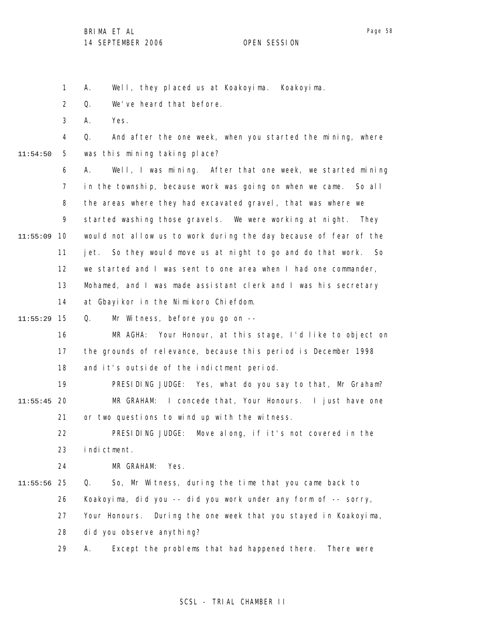A. Well, they placed us at Koakoyima. Koakoyima.

2 Q. We've heard that before.

3 A. Yes.

1

4 5 11:54:50 Q. And after the one week, when you started the mining, where was this mining taking place?

6 7 8 9 10 11:55:09 11 12 13 14 A. Well, I was mining. After that one week, we started mining in the township, because work was going on when we came. So all the areas where they had excavated gravel, that was where we started washing those gravels. We were working at night. They would not allow us to work during the day because of fear of the jet. So they would move us at night to go and do that work. So we started and I was sent to one area when I had one commander, Mohamed, and I was made assistant clerk and I was his secretary at Gbayikor in the Nimikoro Chiefdom.

15 11:55:29 Q. Mr Witness, before you go on --

> 16 17 18 MR AGHA: Your Honour, at this stage, I'd like to object on the grounds of relevance, because this period is December 1998 and it's outside of the indictment period.

19 20 11:55:45 21 PRESIDING JUDGE: Yes, what do you say to that, Mr Graham? MR GRAHAM: I concede that, Your Honours. I just have one or two questions to wind up with the witness.

22 23 PRESIDING JUDGE: Move along, if it's not covered in the indictment.

24 MR GRAHAM: Yes.

25 11:55:56 26 27 Q. So, Mr Witness, during the time that you came back to Koakoyima, did you -- did you work under any form of -- sorry, Your Honours. During the one week that you stayed in Koakoyima,

> 28 did you observe anything?

29 A. Except the problems that had happened there. There were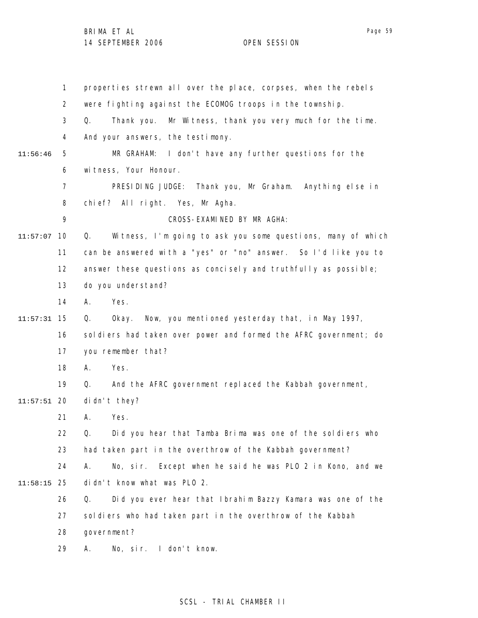|          | $\mathbf{1}$   | properties strewn all over the place, corpses, when the rebels    |
|----------|----------------|-------------------------------------------------------------------|
|          | $\overline{2}$ | were fighting against the ECOMOG troops in the township.          |
|          | 3              | Thank you.<br>Mr Witness, thank you very much for the time.<br>Q. |
|          | 4              | And your answers, the testimony.                                  |
| 11:56:46 | 5              | MR GRAHAM: I don't have any further questions for the             |
|          | 6              | witness, Your Honour.                                             |
|          | $\overline{7}$ | PRESIDING JUDGE: Thank you, Mr Graham. Anything else in           |
|          | 8              | chief? All right. Yes, Mr Agha.                                   |
|          | 9              | CROSS-EXAMINED BY MR AGHA:                                        |
| 11:57:07 | 10             | Witness, I'm going to ask you some questions, many of which<br>Q. |
|          | 11             | can be answered with a "yes" or "no" answer. So I'd like you to   |
|          | 12             | answer these questions as concisely and truthfully as possible;   |
|          | 13             | do you understand?                                                |
|          | 14             | Yes.<br>А.                                                        |
| 11:57:31 | 15             | Okay. Now, you mentioned yesterday that, in May 1997,<br>Q.       |
|          | 16             | soldiers had taken over power and formed the AFRC government; do  |
|          | 17             | you remember that?                                                |
|          | 18             | Yes.<br>Α.                                                        |
|          | 19             | And the AFRC government replaced the Kabbah government,<br>Q.     |
| 11:57:51 | 20             | didn't they?                                                      |
|          | 21             | Yes.<br>А.                                                        |
|          | 22             | Did you hear that Tamba Brima was one of the soldiers who<br>Q.   |
|          | 23             | had taken part in the overthrow of the Kabbah government?         |
|          | 24             | No, sir. Except when he said he was PLO 2 in Kono, and we<br>А.   |
| 11:58:15 | 25             | didn't know what was PLO 2.                                       |
|          | 26             | Did you ever hear that Ibrahim Bazzy Kamara was one of the<br>Q.  |
|          | 27             | soldiers who had taken part in the overthrow of the Kabbah        |
|          | 28             | government?                                                       |
|          | 29             | No, sir. I don't know.<br>Α.                                      |

# SCSL - TRIAL CHAMBER II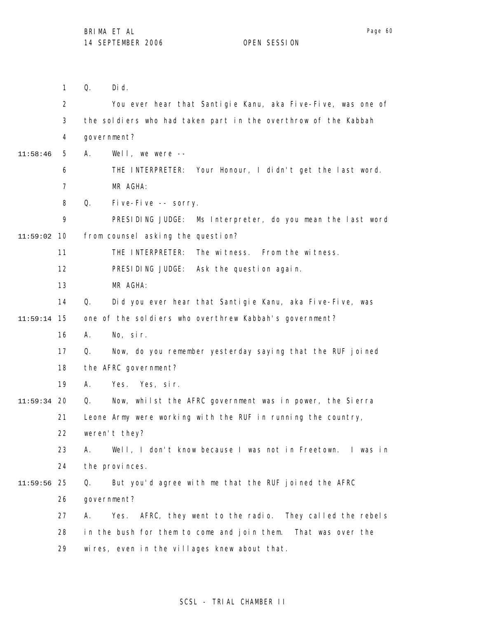1 2 3 4 5 6 7 8 9 10 11:59:02 11 12 13 14 15 11:59:14 16 17 18 19 20 11:59:34 21 22 23 24 25 11:59:56 26 27 28 29 11:58:46 Q. Did. You ever hear that Santigie Kanu, aka Five-Five, was one of the soldiers who had taken part in the overthrow of the Kabbah government? A. Well, we were -- THE INTERPRETER: Your Honour, I didn't get the last word. MR AGHA: Q. Five-Five -- sorry. PRESIDING JUDGE: Ms Interpreter, do you mean the last word from counsel asking the question? THE INTERPRETER: The witness. From the witness. PRESIDING JUDGE: Ask the question again. MR AGHA: Q. Did you ever hear that Santigie Kanu, aka Five-Five, was one of the soldiers who overthrew Kabbah's government? A. No, sir. Q. Now, do you remember yesterday saying that the RUF joined the AFRC government? A. Yes. Yes, sir. Q. Now, whilst the AFRC government was in power, the Sierra Leone Army were working with the RUF in running the country, weren't they? A. Well, I don't know because I was not in Freetown. I was in the provinces. Q. But you'd agree with me that the RUF joined the AFRC government? A. Yes. AFRC, they went to the radio. They called the rebels in the bush for them to come and join them. That was over the wires, even in the villages knew about that.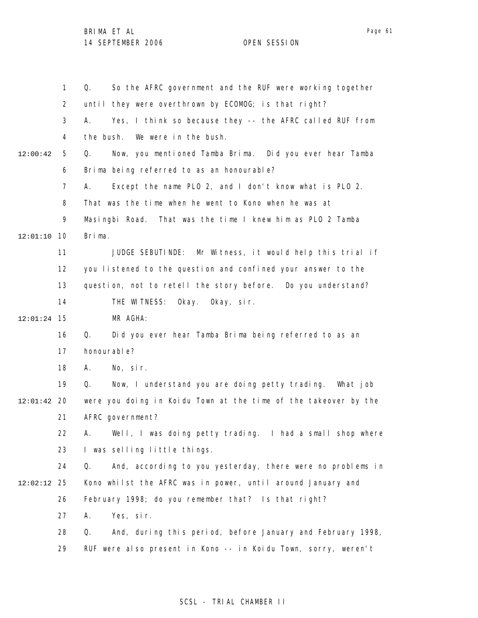|          | $\mathbf{1}$   | So the AFRC government and the RUF were working together<br>Q.   |
|----------|----------------|------------------------------------------------------------------|
|          | $\overline{2}$ | until they were overthrown by ECOMOG; is that right?             |
|          | 3              | Yes, I think so because they -- the AFRC called RUF from<br>А.   |
|          | 4              | the bush.<br>We were in the bush.                                |
| 12:00:42 | 5              | Q.<br>Now, you mentioned Tamba Brima. Did you ever hear Tamba    |
|          | 6              | Brima being referred to as an honourable?                        |
|          | 7              | Except the name PLO 2, and I don't know what is PLO 2.<br>А.     |
|          | 8              | That was the time when he went to Kono when he was at            |
|          | 9              | Masingbi Road. That was the time I knew him as PLO 2 Tamba       |
| 12:01:10 | 10             | Brima.                                                           |
|          | 11             | JUDGE SEBUTINDE: Mr Witness, it would help this trial if         |
|          | 12             | you listened to the question and confined your answer to the     |
|          | 13             | question, not to retell the story before. Do you understand?     |
|          | 14             | THE WITNESS:<br>Okay. Okay, sir.                                 |
| 12:01:24 | 15             | MR AGHA:                                                         |
|          | 16             | Did you ever hear Tamba Brima being referred to as an<br>Q.      |
|          | 17             | honourable?                                                      |
|          | 18             | No, sir.<br>А.                                                   |
|          | 19             | Now, I understand you are doing petty trading. What job<br>Q.    |
| 12:01:42 | 20             | were you doing in Koidu Town at the time of the takeover by the  |
|          | 21             | AFRC government?                                                 |
|          | 22             | A. Well, I was doing petty trading. I had a small shop where     |
|          | 23             | I was selling little things.                                     |
|          | 24             | Q.<br>And, according to you yesterday, there were no problems in |
| 12:02:12 | 25             | Kono whilst the AFRC was in power, until around January and      |
|          | 26             | February 1998; do you remember that? Is that right?              |
|          | 27             | Α.<br>Yes, sir.                                                  |
|          | 28             | Q.<br>And, during this period, before January and February 1998, |
|          | 29             | RUF were also present in Kono -- in Koidu Town, sorry, weren't   |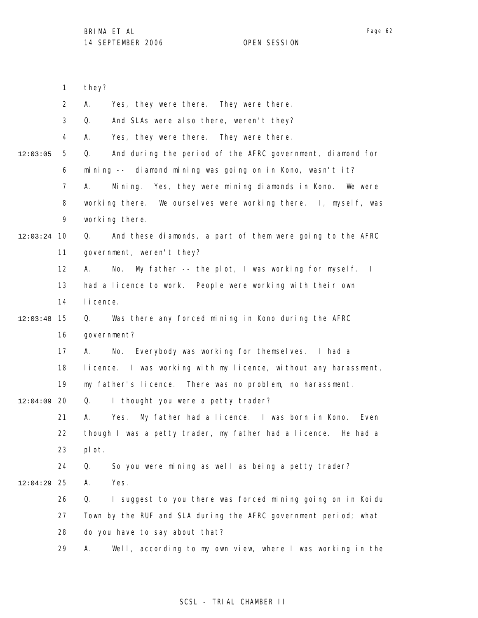|          | 1              | they?                                                              |
|----------|----------------|--------------------------------------------------------------------|
|          | $\overline{2}$ | Α.<br>Yes, they were there. They were there.                       |
|          | 3              | Q.<br>And SLAs were also there, weren't they?                      |
|          | 4              | Yes, they were there. They were there.<br>А.                       |
| 12:03:05 | 5              | Q.<br>And during the period of the AFRC government, diamond for    |
|          | 6              | mining -- diamond mining was going on in Kono, wasn't it?          |
|          | $\overline{7}$ | Α.<br>Mining. Yes, they were mining diamonds in Kono. We were      |
|          | 8              | working there. We ourselves were working there. I, myself, was     |
|          | 9              | working there.                                                     |
| 12:03:24 | 10             | And these diamonds, a part of them were going to the AFRC<br>Q.    |
|          | 11             | government, weren't they?                                          |
|          | 12             | My father -- the plot, I was working for myself. I<br>А.<br>No.    |
|          | 13             | had a licence to work. People were working with their own          |
|          | 14             | I i cence.                                                         |
| 12:03:48 | 15             | Was there any forced mining in Kono during the AFRC<br>Q.          |
|          | 16             | government?                                                        |
|          | 17             | No. Everybody was working for themselves. I had a<br>А.            |
|          | 18             | licence. I was working with my licence, without any harassment,    |
|          | 19             | my father's licence. There was no problem, no harassment.          |
| 12:04:09 | 20             | I thought you were a petty trader?<br>Q.                           |
|          | 21             | My father had a licence. I was born in Kono.<br>Yes.<br>Even<br>А. |
|          | 22             | though I was a petty trader, my father had a licence. He had a     |
|          | 23             | pl ot.                                                             |
|          | 24             | So you were mining as well as being a petty trader?<br>Q.          |
| 12:04:29 | 25             | Yes.<br>Α.                                                         |
|          | 26             | Q.<br>I suggest to you there was forced mining going on in Koidu   |
|          | 27             | Town by the RUF and SLA during the AFRC government period; what    |
|          | 28             | do you have to say about that?                                     |
|          | 29             | Well, according to my own view, where I was working in the<br>Α.   |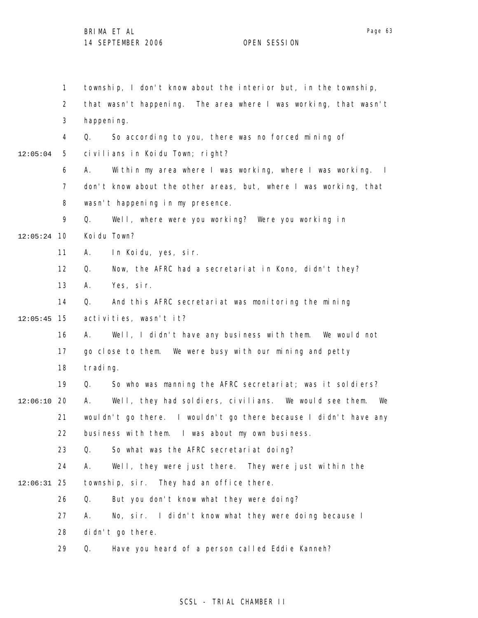1 2 3 4 5 6 7 8 9 10 12:05:24 11 12 13 14 15 12:05:45 16 17 18 19 20 12:06:10 21 22 23 24 25 12:06:31 26 27 28 29 12:05:04 township, I don't know about the interior but, in the township, that wasn't happening. The area where I was working, that wasn't happening. Q. So according to you, there was no forced mining of civilians in Koidu Town; right? A. Within my area where I was working, where I was working. I don't know about the other areas, but, where I was working, that wasn't happening in my presence. Q. Well, where were you working? Were you working in Koidu Town? A. In Koidu, yes, sir. Q. Now, the AFRC had a secretariat in Kono, didn't they? A. Yes, sir. Q. And this AFRC secretariat was monitoring the mining activities, wasn't it? A. Well, I didn't have any business with them. We would not go close to them. We were busy with our mining and petty trading. Q. So who was manning the AFRC secretariat; was it soldiers? A. Well, they had soldiers, civilians. We would see them. We wouldn't go there. I wouldn't go there because I didn't have any business with them. I was about my own business. Q. So what was the AFRC secretariat doing? A. Well, they were just there. They were just within the township, sir. They had an office there. Q. But you don't know what they were doing? A. No, sir. I didn't know what they were doing because I didn't go there. Q. Have you heard of a person called Eddie Kanneh?

# SCSL - TRIAL CHAMBER II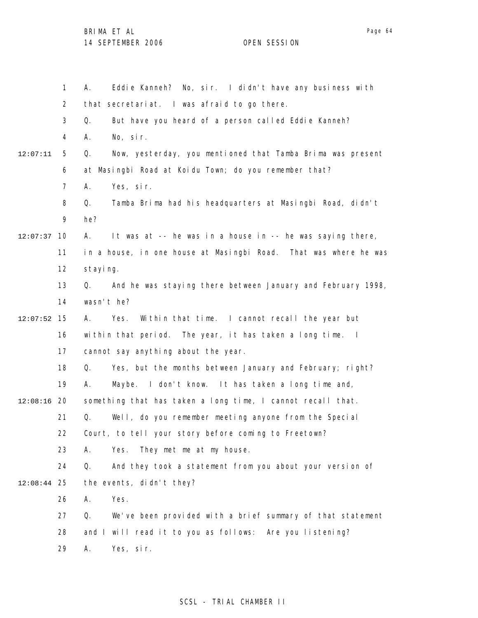|               | $\mathbf{1}$   | Eddie Kanneh? No, sir. I didn't have any business with<br>А.      |
|---------------|----------------|-------------------------------------------------------------------|
|               | $\overline{2}$ | that secretariat. I was afraid to go there.                       |
|               | 3              | But have you heard of a person called Eddie Kanneh?<br>Q.         |
|               | 4              | No, sir.<br>А.                                                    |
| 12:07:11      | 5              | Now, yesterday, you mentioned that Tamba Brima was present<br>Q.  |
|               | 6              | at Masingbi Road at Koidu Town; do you remember that?             |
|               | 7              | Yes, sir.<br>А.                                                   |
|               | 8              | Tamba Brima had his headquarters at Masingbi Road, didn't<br>Q.   |
|               | 9              | he?                                                               |
| 12:07:37      | 10             | It was at -- he was in a house in -- he was saying there,<br>А.   |
|               | 11             | in a house, in one house at Masingbi Road. That was where he was  |
|               | 12             | staying.                                                          |
|               | 13             | And he was staying there between January and February 1998,<br>Q. |
|               | 14             | wasn't he?                                                        |
| 12:07:52      | 15             | Within that time. I cannot recall the year but<br>Α.<br>Yes.      |
|               | 16             | within that period. The year, it has taken a long time. I         |
|               | 17             | cannot say anything about the year.                               |
|               | 18             | Yes, but the months between January and February; right?<br>Q.    |
|               | 19             | Maybe. I don't know. It has taken a long time and,<br>А.          |
| $12:08:16$ 20 |                | something that has taken a long time, I cannot recall that.       |
|               | 21             | Q.<br>Well, do you remember meeting anyone from the Special       |
|               | 22             | Court, to tell your story before coming to Freetown?              |
|               | 23             | Yes.<br>They met me at my house.<br>А.                            |
|               | 24             | And they took a statement from you about your version of<br>Q.    |
| 12:08:44      | 25             | the events, didn't they?                                          |
|               | 26             | Yes.<br>А.                                                        |
|               | 27             | We've been provided with a brief summary of that statement<br>Q.  |
|               | 28             | and I will read it to you as follows: Are you listening?          |
|               | 29             | Yes, sir.<br>Α.                                                   |

# SCSL - TRIAL CHAMBER II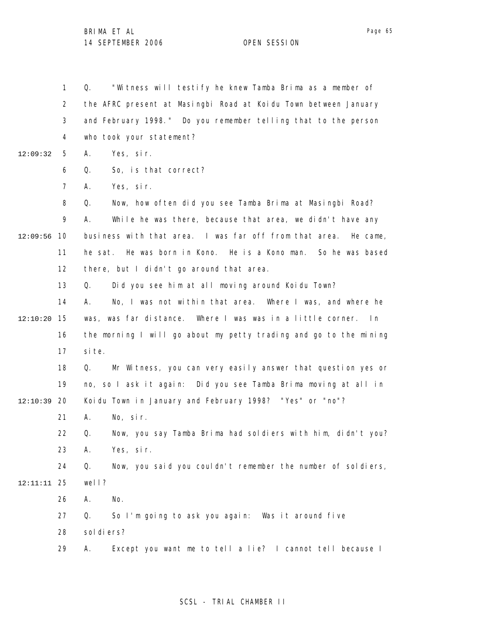1 2 3 4 5 6 7 8 9 12:09:56 10 11 12 12:09:32 Q. "Witness will testify he knew Tamba Brima as a member of the AFRC present at Masingbi Road at Koidu Town between January and February 1998." Do you remember telling that to the person who took your statement? A. Yes, sir. Q. So, is that correct? A. Yes, sir. Q. Now, how often did you see Tamba Brima at Masingbi Road? A. While he was there, because that area, we didn't have any business with that area. I was far off from that area. He came, he sat. He was born in Kono. He is a Kono man. So he was based there, but I didn't go around that area.

> 13 Q. Did you see him at all moving around Koidu Town?

14 15 12:10:20 16 17 A. No, I was not within that area. Where I was, and where he was, was far distance. Where I was was in a little corner. In the morning I will go about my petty trading and go to the mining si te.

18 19 12:10:39 20 Q. Mr Witness, you can very easily answer that question yes or no, so I ask it again: Did you see Tamba Brima moving at all in Koidu Town in January and February 1998? "Yes" or "no"?

> 21 A. No, sir.

22 23 Q. Now, you say Tamba Brima had soldiers with him, didn't you? A. Yes, sir.

24 25 12:11:11 Q. Now, you said you couldn't remember the number of soldiers, well?

> 26 27 28 29 A. No. Q. So I'm going to ask you again: Was it around five sol di ers? A. Except you want me to tell a lie? I cannot tell because I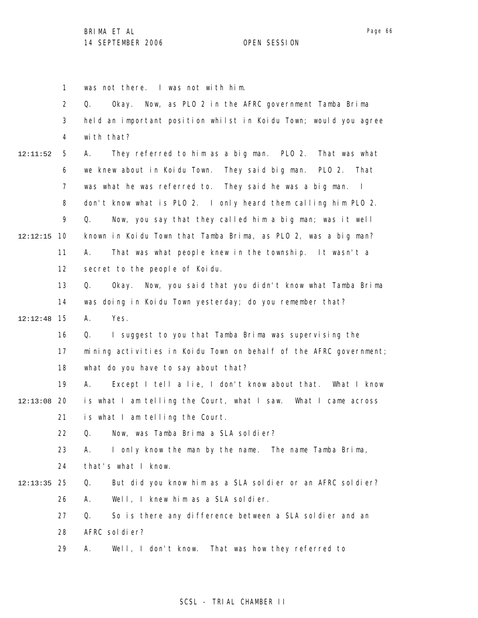1 2 3 4 5 6 7 8 9 10 12:12:15 11 12 13 14 15 12:12:48 16 17 18 19 12:13:08 20 21 22 23 24 25 12:13:35 26 27 28 29 12:11:52 was not there. I was not with him. Q. Okay. Now, as PLO 2 in the AFRC government Tamba Brima held an important position whilst in Koidu Town; would you agree with that? A. They referred to him as a big man. PLO 2. That was what we knew about in Koidu Town. They said big man. PLO 2. That was what he was referred to. They said he was a big man. I don't know what is PLO 2. I only heard them calling him PLO 2. Q. Now, you say that they called him a big man; was it well known in Koidu Town that Tamba Brima, as PLO 2, was a big man? A. That was what people knew in the township. It wasn't a secret to the people of Koidu. Q. Okay. Now, you said that you didn't know what Tamba Brima was doing in Koidu Town yesterday; do you remember that? A. Yes. Q. I suggest to you that Tamba Brima was supervising the mining activities in Koidu Town on behalf of the AFRC government; what do you have to say about that? A. Except I tell a lie, I don't know about that. What I know is what I am telling the Court, what I saw. What I came across is what I am telling the Court. Q. Now, was Tamba Brima a SLA soldier? A. I only know the man by the name. The name Tamba Brima, that's what I know. Q. But did you know him as a SLA soldier or an AFRC soldier? A. Well, I knew him as a SLA soldier. Q. So is there any difference between a SLA soldier and an AFRC soldier? A. Well, I don't know. That was how they referred to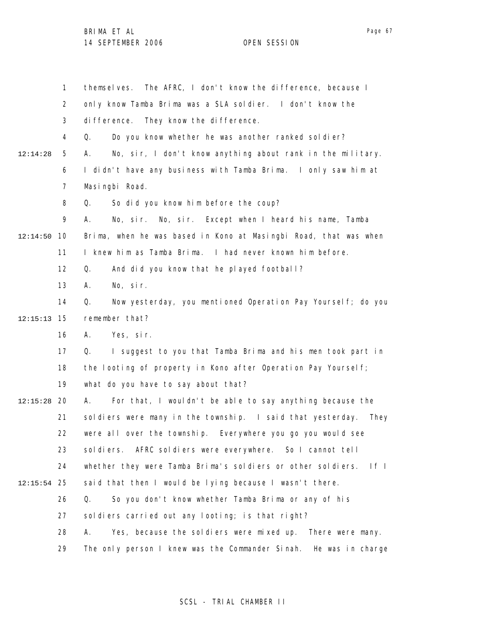1 2 3 4 5 6 7 8 9 10 12:14:50 11 12 13 14 15 12:15:13 16 17 18 19 20 12:15:28 21 22 23 24 25 12:15:54 26 27 28 29 12:14:28 themselves. The AFRC, I don't know the difference, because I only know Tamba Brima was a SLA soldier. I don't know the difference. They know the difference. Q. Do you know whether he was another ranked soldier? A. No, sir, I don't know anything about rank in the military. I didn't have any business with Tamba Brima. I only saw him at Masingbi Road. Q. So did you know him before the coup? A. No, sir. No, sir. Except when I heard his name, Tamba Brima, when he was based in Kono at Masingbi Road, that was when I knew him as Tamba Brima. I had never known him before. Q. And did you know that he played football? A. No, sir. Q. Now yesterday, you mentioned Operation Pay Yourself; do you remember that? A. Yes, sir. Q. I suggest to you that Tamba Brima and his men took part in the looting of property in Kono after Operation Pay Yourself; what do you have to say about that? A. For that, I wouldn't be able to say anything because the soldiers were many in the township. I said that yesterday. They were all over the township. Everywhere you go you would see sol diers. AFRC sol diers were everywhere. So I cannot tell whether they were Tamba Brima's soldiers or other soldiers. If I said that then I would be lying because I wasn't there. Q. So you don't know whether Tamba Brima or any of his soldiers carried out any looting; is that right? A. Yes, because the soldiers were mixed up. There were many. The only person I knew was the Commander Sinah. He was in charge

## SCSL - TRIAL CHAMBER II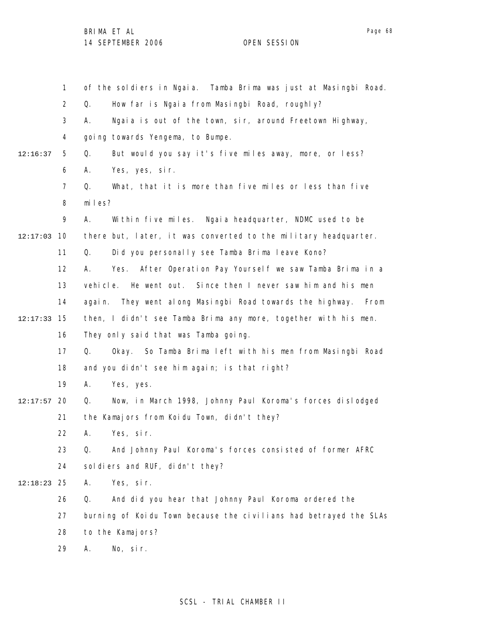1

2

of the soldiers in Ngaia. Tamba Brima was just at Masingbi Road. Q. How far is Ngaia from Masingbi Road, roughly?

Page 68

|          | 3              | Ngaia is out of the town, sir, around Freetown Highway,<br>А.         |
|----------|----------------|-----------------------------------------------------------------------|
|          | 4              | going towards Yengema, to Bumpe.                                      |
| 12:16:37 | 5              | Q.<br>But would you say it's five miles away, more, or less?          |
|          | 6              | А.<br>Yes, yes, sir.                                                  |
|          | $\overline{7}$ | What, that it is more than five miles or less than five<br>Q.         |
|          | 8              | miles?                                                                |
|          | 9              | А.<br>Within five miles. Ngaia headquarter, NDMC used to be           |
| 12:17:03 | 10             | there but, later, it was converted to the military headquarter.       |
|          | 11             | Did you personally see Tamba Brima leave Kono?<br>Q.                  |
|          | 12             | After Operation Pay Yourself we saw Tamba Brima in a<br>А.<br>Yes.    |
|          | 13             | He went out. Since then I never saw him and his men<br>vehi cl e.     |
|          | 14             | They went along Masingbi Road towards the highway.<br>From<br>agai n. |
| 12:17:33 | 15             | then, I didn't see Tamba Brima any more, together with his men.       |
|          | 16             | They only said that was Tamba going.                                  |
|          | 17             | Okay. So Tamba Brima left with his men from Masingbi Road<br>Q.       |
|          | 18             | and you didn't see him again; is that right?                          |
|          | 19             | Yes, yes.<br>А.                                                       |
| 12:17:57 | 20             | Now, in March 1998, Johnny Paul Koroma's forces dislodged<br>Q.       |
|          | 21             | the Kamajors from Koidu Town, didn't they?                            |
|          | 22             | Yes, sir.<br>А.                                                       |
|          | 23             | And Johnny Paul Koroma's forces consisted of former AFRC<br>Q.        |
|          | 24             | sol diers and RUF, didn't they?                                       |
| 12:18:23 | 25             | Yes, sir.<br>Α.                                                       |
|          | 26             | And did you hear that Johnny Paul Koroma ordered the<br>Q.            |
|          | 27             | burning of Koidu Town because the civilians had betrayed the SLAs     |
|          | 28             | to the Kamajors?                                                      |

29 A. No, sir.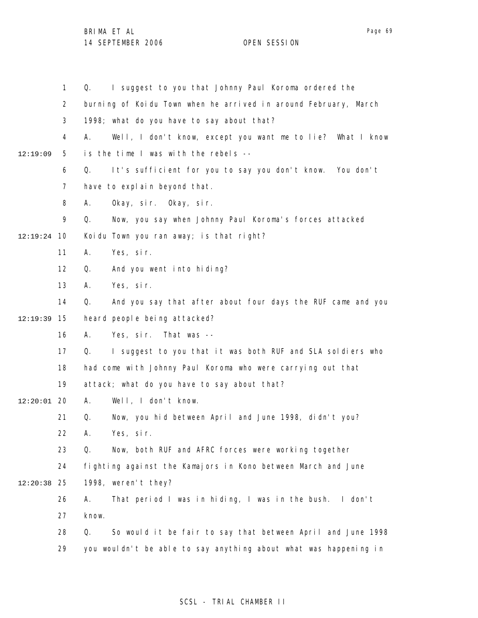|          | $\mathbf{1}$   | I suggest to you that Johnny Paul Koroma ordered the<br>Q.        |
|----------|----------------|-------------------------------------------------------------------|
|          | $\overline{2}$ | burning of Koidu Town when he arrived in around February, March   |
|          | 3              | 1998; what do you have to say about that?                         |
|          | 4              | Well, I don't know, except you want me to lie? What I know<br>А.  |
| 12:19:09 | 5              | is the time I was with the rebels --                              |
|          | 6              | It's sufficient for you to say you don't know. You don't<br>Q.    |
|          | 7              | have to explain beyond that.                                      |
|          | 8              | Okay, sir. Okay, sir.<br>А.                                       |
|          | 9              | Now, you say when Johnny Paul Koroma's forces attacked<br>Q.      |
| 12:19:24 | 10             | Koidu Town you ran away; is that right?                           |
|          | 11             | Α.<br>Yes, sir.                                                   |
|          | 12             | And you went into hiding?<br>Q.                                   |
|          | 13             | Yes, sir.<br>А.                                                   |
|          | 14             | Q.<br>And you say that after about four days the RUF came and you |
| 12:19:39 | 15             | heard people being attacked?                                      |
|          | 16             | Yes, sir. That was --<br>А.                                       |
|          | 17             | I suggest to you that it was both RUF and SLA soldiers who<br>Q.  |
|          | 18             | had come with Johnny Paul Koroma who were carrying out that       |
|          | 19             | attack; what do you have to say about that?                       |
| 12:20:01 | -20            | Well, I don't know.<br>А.                                         |
|          | 21             | Q.<br>Now, you hid between April and June 1998, didn't you?       |
|          | 22             | Yes, sir.<br>А.                                                   |
|          | 23             | Now, both RUF and AFRC forces were working together<br>Q.         |
|          | 24             | fighting against the Kamajors in Kono between March and June      |
| 12:20:38 | 25             | 1998, weren't they?                                               |
|          | 26             | That period I was in hiding, I was in the bush. I don't<br>А.     |
|          | 27             | know.                                                             |
|          | 28             | So would it be fair to say that between April and June 1998<br>Q. |
|          | 29             | you wouldn't be able to say anything about what was happening in  |
|          |                |                                                                   |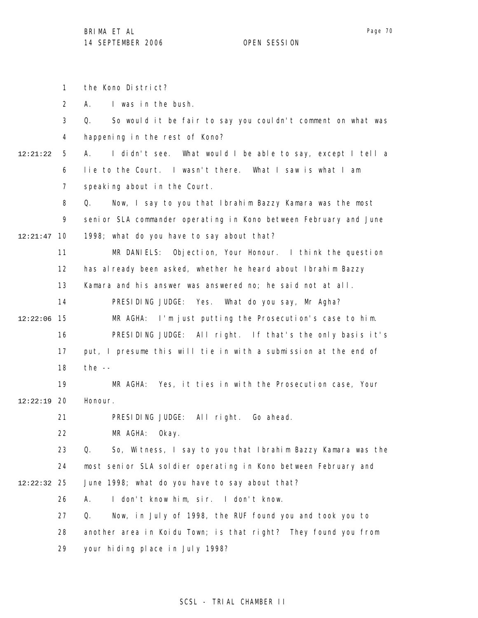the Kono District?

1

Page 70

2 3 4 5 6 7 8 9 10 12:21:47 11 12 13 14 15 12:22:06 16 17 18 19 12:22:19 20 21 22 23 24 25 12:22:32 26 27 28 29 12:21:22 A. I was in the bush. Q. So would it be fair to say you couldn't comment on what was happening in the rest of Kono? A. I didn't see. What would I be able to say, except I tell a lie to the Court. I wasn't there. What I saw is what I am speaking about in the Court. Q. Now, I say to you that Ibrahim Bazzy Kamara was the most senior SLA commander operating in Kono between February and June 1998; what do you have to say about that? MR DANIELS: Objection, Your Honour. I think the question has al ready been asked, whether he heard about Ibrahim Bazzy Kamara and his answer was answered no; he said not at all. PRESIDING JUDGE: Yes. What do you say, Mr Agha? MR AGHA: I'm just putting the Prosecution's case to him. PRESIDING JUDGE: All right. If that's the only basis it's put, I presume this will tie in with a submission at the end of the  $-$ MR AGHA: Yes, it ties in with the Prosecution case, Your Honour. PRESIDING JUDGE: All right. Go ahead. MR AGHA: Okay. Q. So, Witness, I say to you that Ibrahim Bazzy Kamara was the most senior SLA soldier operating in Kono between February and June 1998; what do you have to say about that? A. I don't know him, sir. I don't know. Q. Now, in July of 1998, the RUF found you and took you to another area in Koidu Town; is that right? They found you from your hiding place in July 1998?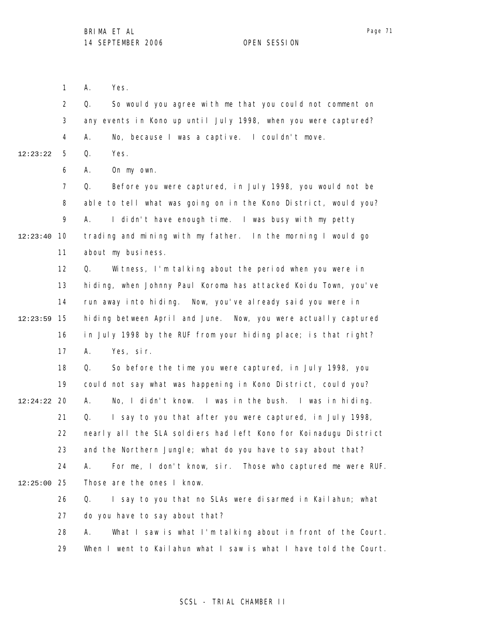Page 71

1 A. Yes.

2 3 4 5 12:23:22 Q. So would you agree with me that you could not comment on any events in Kono up until July 1998, when you were captured? A. No, because I was a captive. I couldn't move. Q. Yes.

> 6 A. On my own.

7 8 9 10 12:23:40 11 Q. Before you were captured, in July 1998, you would not be able to tell what was going on in the Kono District, would you? A. I didn't have enough time. I was busy with my petty trading and mining with my father. In the morning I would go about my business.

12 13 14 15 12:23:59 16 17 Q. Witness, I'm talking about the period when you were in hiding, when Johnny Paul Koroma has attacked Koidu Town, you've run away into hiding. Now, you've already said you were in hiding between April and June. Now, you were actually captured in July 1998 by the RUF from your hiding place; is that right? A. Yes, sir.

18 19 20 12:24:22 21 22 23 24 25 12:25:00 26 Q. So before the time you were captured, in July 1998, you could not say what was happening in Kono District, could you? A. No, I didn't know. I was in the bush. I was in hiding. Q. I say to you that after you were captured, in July 1998, nearly all the SLA soldiers had left Kono for Koinadugu District and the Northern Jungle; what do you have to say about that? A. For me, I don't know, sir. Those who captured me were RUF. Those are the ones I know. Q. I say to you that no SLAs were disarmed in Kailahun; what

27 do you have to say about that?

28 29 A. What I saw is what I'm talking about in front of the Court. When I went to Kailahun what I saw is what I have told the Court.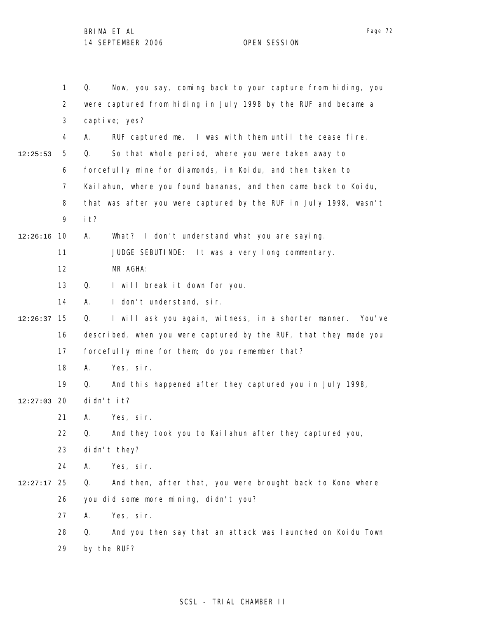1 2 3 4 5 6 7 8 9 10 12:26:16 11 12 13 14 15 12:26:37 16 17 18 19 12:27:03 20 21 22 23 24 25 12:27:17 26 27 28 29 12:25:53 Q. Now, you say, coming back to your capture from hiding, you were captured from hiding in July 1998 by the RUF and became a captive; yes? A. RUF captured me. I was with them until the cease fire. Q. So that whole period, where you were taken away to forcefully mine for diamonds, in Koidu, and then taken to Kailahun, where you found bananas, and then came back to Koidu, that was after you were captured by the RUF in July 1998, wasn't it? A. What? I don't understand what you are saying. JUDGE SEBUTINDE: It was a very long commentary. MR AGHA: Q. I will break it down for you. A. I don't understand, sir. Q. I will ask you again, witness, in a shorter manner. You've described, when you were captured by the RUF, that they made you forcefully mine for them; do you remember that? A. Yes, sir. Q. And this happened after they captured you in July 1998, didn't it? A. Yes, sir. Q. And they took you to Kailahun after they captured you, didn't they? A. Yes, sir. Q. And then, after that, you were brought back to Kono where you did some more mining, didn't you? A. Yes, sir. Q. And you then say that an attack was launched on Koidu Town by the RUF?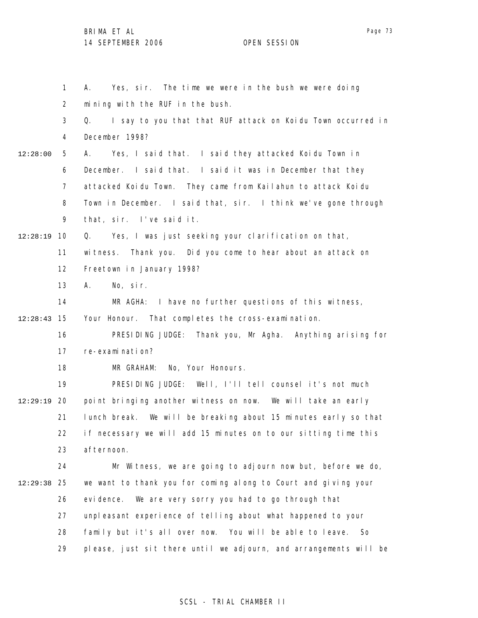BRIMA ET AL 14 SEPTEMBER 2006 OPEN SESSION

1 2 3 4 5 6 7 8 9 10 12:28:19 11 12 13 14 15 12:28:43 16 17 18 19 12:29:19 20 21 22 23 24 25 12:29:38 26 27 28 29 12:28:00 A. Yes, sir. The time we were in the bush we were doing mining with the RUF in the bush. Q. I say to you that that RUF attack on Koidu Town occurred in December 1998? A. Yes, I said that. I said they attacked Koidu Town in December. I said that. I said it was in December that they attacked Koidu Town. They came from Kailahun to attack Koidu Town in December. I said that, sir. I think we've gone through that, sir. I've said it. Q. Yes, I was just seeking your clarification on that, witness. Thank you. Did you come to hear about an attack on Freetown in January 1998? A. No, sir. MR AGHA: I have no further questions of this witness, Your Honour. That completes the cross-examination. PRESIDING JUDGE: Thank you, Mr Agha. Anything arising for re-examination? MR GRAHAM: No, Your Honours. PRESIDING JUDGE: Well, I'll tell counsel it's not much point bringing another witness on now. We will take an early lunch break. We will be breaking about 15 minutes early so that if necessary we will add 15 minutes on to our sitting time this afternoon. Mr Witness, we are going to adjourn now but, before we do, we want to thank you for coming along to Court and giving your evidence. We are very sorry you had to go through that unpleasant experience of telling about what happened to your family but it's all over now. You will be able to leave. So please, just sit there until we adjourn, and arrangements will be

#### SCSL - TRIAL CHAMBER II

Page 73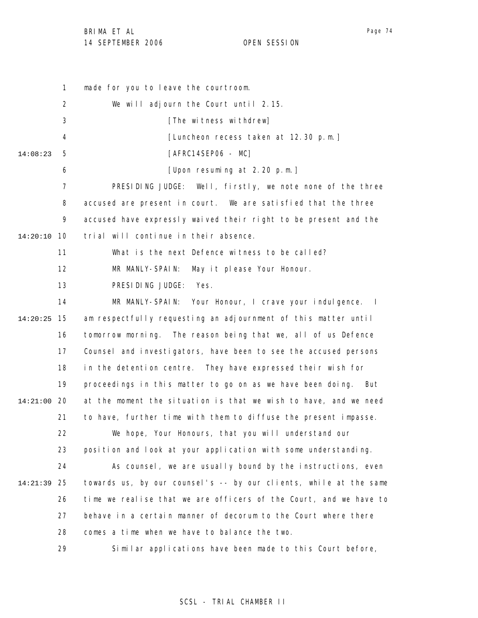BRIMA ET AL

14 SEPTEMBER 2006 OPEN SESSION

1 2 3 4 5 6 7 8 9 10 14:20:10 11 12 13 14 15 14:20:25 16 17 18 19 20 14:21:00 21 22 23 24 25 14:21:39 26 27 28 29 14:08:23 made for you to leave the courtroom. We will adjourn the Court until 2.15. [The witness withdrew] [Luncheon recess taken at 12.30 p.m.] [AFRC14SEP06 - MC] [Upon resuming at 2.20 p.m.] PRESIDING JUDGE: Well, firstly, we note none of the three accused are present in court. We are satisfied that the three accused have expressly waived their right to be present and the trial will continue in their absence. What is the next Defence witness to be called? MR MANLY-SPAIN: May it please Your Honour. PRESIDING JUDGE: Yes. MR MANLY-SPAIN: Your Honour, I crave your indulgence. I am respectfully requesting an adjournment of this matter until tomorrow morning. The reason being that we, all of us Defence Counsel and investigators, have been to see the accused persons in the detention centre. They have expressed their wish for proceedings in this matter to go on as we have been doing. But at the moment the situation is that we wish to have, and we need to have, further time with them to diffuse the present impasse. We hope, Your Honours, that you will understand our position and look at your application with some understanding. As counsel, we are usually bound by the instructions, even towards us, by our counsel's -- by our clients, while at the same time we realise that we are officers of the Court, and we have to behave in a certain manner of decorum to the Court where there comes a time when we have to balance the two. Similar applications have been made to this Court before,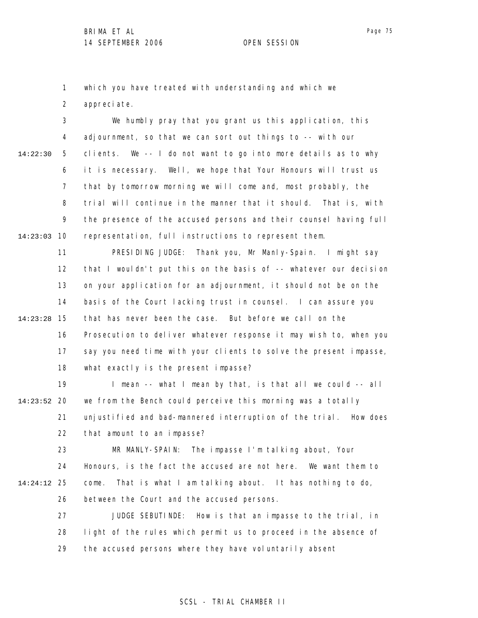1 which you have treated with understanding and which we

2 appreciate.

3 4 5 6 7 8 9 10 14:23:03 14:22:30 We humbly pray that you grant us this application, this adjournment, so that we can sort out things to -- with our clients. We -- I do not want to go into more details as to why it is necessary. Well, we hope that Your Honours will trust us that by tomorrow morning we will come and, most probably, the trial will continue in the manner that it should. That is, with the presence of the accused persons and their counsel having full representation, full instructions to represent them.

11 12 13 14 15 14:23:28 16 17 18 PRESIDING JUDGE: Thank you, Mr Manly-Spain. I might say that I wouldn't put this on the basis of -- whatever our decision on your application for an adjournment, it should not be on the basis of the Court lacking trust in counsel. I can assure you that has never been the case. But before we call on the Prosecution to deliver whatever response it may wish to, when you say you need time with your clients to solve the present impasse, what exactly is the present impasse?

19 20 14:23:52 21 22 I mean -- what I mean by that, is that all we could -- all we from the Bench could perceive this morning was a totally unjustified and bad-mannered interruption of the trial. How does that amount to an impasse?

23 24 25 14:24:12 26 MR MANLY-SPAIN: The impasse I'm talking about, Your Honours, is the fact the accused are not here. We want them to come. That is what I am talking about. It has nothing to do, between the Court and the accused persons.

27 28 29 JUDGE SEBUTINDE: How is that an impasse to the trial, in light of the rules which permit us to proceed in the absence of the accused persons where they have voluntarily absent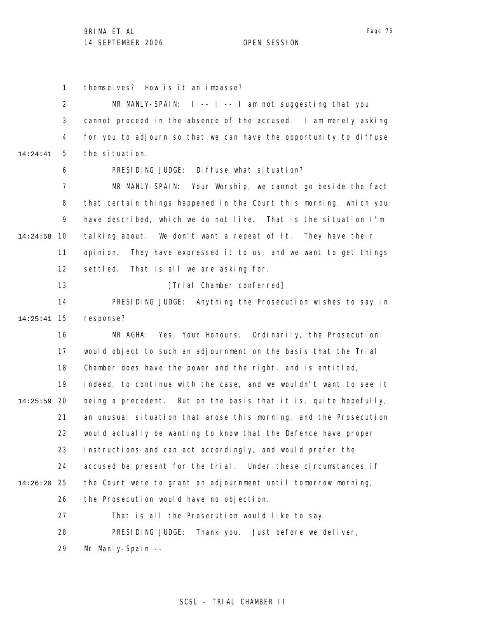BRIMA ET AL 14 SEPTEMBER 2006 OPEN SESSION

1 themselves? How is it an impasse?

2 3 4 5 6 7 8 9 10 14:24:58 11 12 13 14 15 14:25:41 16 17 18 19 20 14:25:59 21 22 23 24 25 14:26:20 26 27 28 29 14:24:41 MR MANLY-SPAIN:  $|I - - I| - |I - I|$  am not suggesting that you cannot proceed in the absence of the accused. I am merely asking for you to adjourn so that we can have the opportunity to diffuse the situation. PRESIDING JUDGE: Diffuse what situation? MR MANLY-SPAIN: Your Worship, we cannot go beside the fact that certain things happened in the Court this morning, which you have described, which we do not like. That is the situation I'm talking about. We don't want a repeat of it. They have their opinion. They have expressed it to us, and we want to get things settled. That is all we are asking for. [Trial Chamber conferred] PRESIDING JUDGE: Anything the Prosecution wishes to say in response? MR AGHA: Yes, Your Honours. Ordinarily, the Prosecution would object to such an adjournment on the basis that the Trial Chamber does have the power and the right, and is entitled, indeed, to continue with the case, and we wouldn't want to see it being a precedent. But on the basis that it is, quite hopefully, an unusual situation that arose this morning, and the Prosecution would actually be wanting to know that the Defence have proper instructions and can act accordingly, and would prefer the accused be present for the trial. Under these circumstances if the Court were to grant an adjournment until tomorrow morning, the Prosecution would have no objection. That is all the Prosecution would like to say. PRESIDING JUDGE: Thank you. Just before we deliver, Mr Manly-Spain --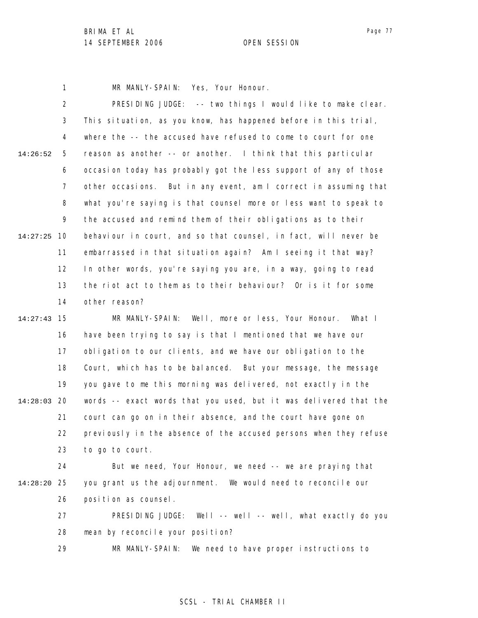1 MR MANLY-SPAIN: Yes, Your Honour.

2 3 4 5 6 7 8 9 10 14:27:25 11 12 13 14 15 14:27:43 16 17 18 19 20 14:28:03 21 22 23 24 25 14:28:20 26 14:26:52 PRESIDING JUDGE: -- two things I would like to make clear. This situation, as you know, has happened before in this trial, where the -- the accused have refused to come to court for one reason as another -- or another. I think that this particular occasion today has probably got the less support of any of those other occasions. But in any event, am I correct in assuming that what you're saying is that counsel more or less want to speak to the accused and remind them of their obligations as to their behaviour in court, and so that counsel, in fact, will never be embarrassed in that situation again? Am I seeing it that way? In other words, you're saying you are, in a way, going to read the riot act to them as to their behaviour? Or is it for some other reason? MR MANLY-SPAIN: Well, more or less, Your Honour. What I have been trying to say is that I mentioned that we have our obligation to our clients, and we have our obligation to the Court, which has to be balanced. But your message, the message you gave to me this morning was delivered, not exactly in the words -- exact words that you used, but it was delivered that the court can go on in their absence, and the court have gone on previously in the absence of the accused persons when they refuse to go to court. But we need, Your Honour, we need -- we are praying that you grant us the adjournment. We would need to reconcile our position as counsel.

> 27 28 PRESIDING JUDGE: Well -- well -- well, what exactly do you mean by reconcile your position?

29 MR MANLY-SPAIN: We need to have proper instructions to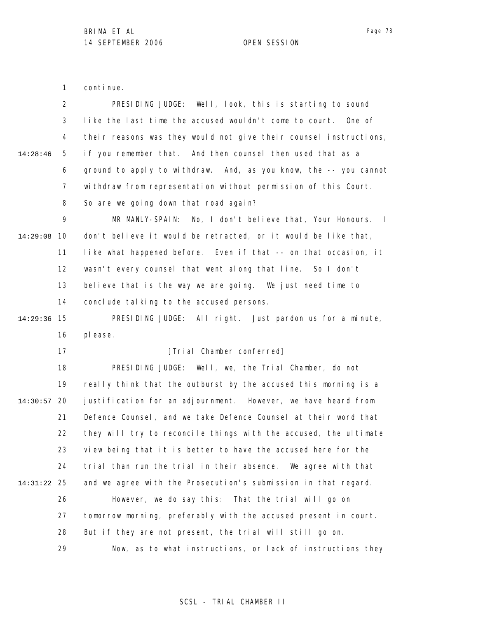1 continue.

|             | $\overline{2}$ | PRESIDING JUDGE: Well, look, this is starting to sound                     |
|-------------|----------------|----------------------------------------------------------------------------|
|             | 3              | like the last time the accused wouldn't come to court.<br>One of           |
|             | 4              | their reasons was they would not give their counsel instructions,          |
| 14:28:46    | 5              | if you remember that. And then counsel then used that as a                 |
|             | 6              | ground to apply to withdraw. And, as you know, the -- you cannot           |
|             | $\overline{7}$ | withdraw from representation without permission of this Court.             |
|             | 8              | So are we going down that road again?                                      |
|             | 9              | MR MANLY-SPAIN:<br>No, I don't believe that, Your Honours.<br>$\mathbf{I}$ |
| 14:29:08    | 10             | don't believe it would be retracted, or it would be like that,             |
|             | 11             | like what happened before. Even if that -- on that occasion, it            |
|             | 12             | wasn't every counsel that went along that line. So I don't                 |
|             | 13             | believe that is the way we are going. We just need time to                 |
|             | 14             | conclude talking to the accused persons.                                   |
| 14:29:36    | 15             | PRESIDING JUDGE: All right. Just pardon us for a minute,                   |
|             | 16             | pl ease.                                                                   |
|             | 17             | [Trial Chamber conferred]                                                  |
|             | 18             | PRESIDING JUDGE: Well, we, the Trial Chamber, do not                       |
|             | 19             | really think that the outburst by the accused this morning is a            |
| 14:30:57    | -20            | justification for an adjournment. However, we have heard from              |
|             | 21             | Defence Counsel, and we take Defence Counsel at their word that            |
|             | 22             | they will try to reconcile things with the accused, the ultimate           |
|             | 23             | view being that it is better to have the accused here for the              |
|             | 24             | trial than run the trial in their absence. We agree with that              |
| 14:31:22 25 |                | and we agree with the Prosecution's submission in that regard.             |
|             | 26             | However, we do say this: That the trial will go on                         |
|             | 27             | tomorrow morning, preferably with the accused present in court.            |
|             | 28             | But if they are not present, the trial will still go on.                   |
|             | 29             | Now, as to what instructions, or lack of instructions they                 |

Page 78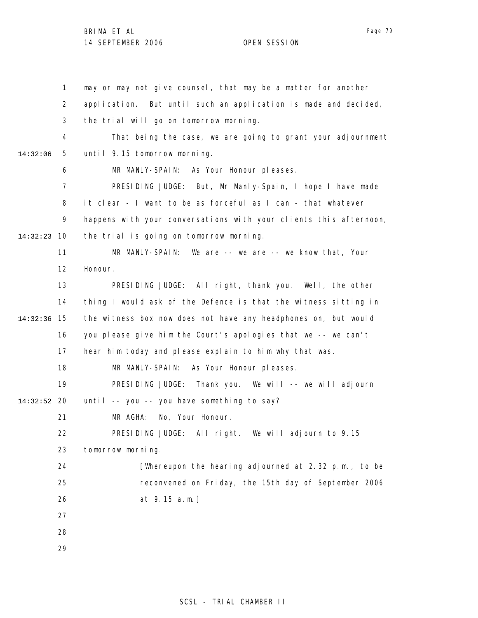BRIMA ET AL 14 SEPTEMBER 2006 OPEN SESSION

|          | $\mathbf{1}$ | may or may not give counsel, that may be a matter for another     |
|----------|--------------|-------------------------------------------------------------------|
|          | 2            | application. But until such an application is made and decided,   |
|          | 3            | the trial will go on tomorrow morning.                            |
|          | 4            | That being the case, we are going to grant your adjournment       |
| 14:32:06 | 5            | until 9.15 tomorrow morning.                                      |
|          | 6            | MR MANLY-SPAIN:<br>As Your Honour pleases.                        |
|          | 7            | PRESIDING JUDGE: But, Mr Manly-Spain, I hope I have made          |
|          | 8            | it clear - I want to be as forceful as I can - that whatever      |
|          | 9            | happens with your conversations with your clients this afternoon, |
| 14:32:23 | 10           | the trial is going on tomorrow morning.                           |
|          | 11           | MR MANLY-SPAIN: We are $--$ we are $--$ we know that, Your        |
|          | 12           | Honour.                                                           |
|          | 13           | PRESIDING JUDGE: All right, thank you. Well, the other            |
|          | 14           | thing I would ask of the Defence is that the witness sitting in   |
| 14:32:36 | 15           | the witness box now does not have any headphones on, but would    |
|          | 16           | you please give him the Court's apologies that we -- we can't     |
|          | 17           | hear him today and please explain to him why that was.            |
|          | 18           | MR MANLY-SPAIN: As Your Honour pleases.                           |
|          | 19           | PRESIDING JUDGE: Thank you. We will -- we will adjourn            |
| 14:32:52 | 20           | until -- you -- you have something to say?                        |
|          | 21           | No, Your Honour.<br>MR AGHA:                                      |
|          | 22           | PRESIDING JUDGE: All right. We will adjourn to 9.15               |
|          | 23           | tomorrow morning.                                                 |
|          | 24           | [Whereupon the hearing adjourned at 2.32 p.m., to be              |
|          | 25           | reconvened on Friday, the 15th day of September 2006              |
|          | 26           | at 9.15 a.m.]                                                     |
|          | 27           |                                                                   |
|          | 28           |                                                                   |
|          | 29           |                                                                   |

Page 79